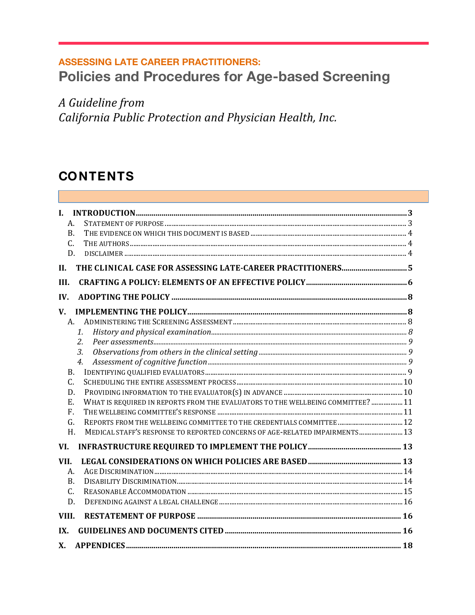# **ASSESSING LATE CAREER PRACTITIONERS: Policies and Procedures for Age-based Screening**

A Guideline from California Public Protection and Physician Health, Inc.

# **CONTENTS**

| L.                                                                                         |  |
|--------------------------------------------------------------------------------------------|--|
| A.                                                                                         |  |
| B.                                                                                         |  |
| C.                                                                                         |  |
| D.                                                                                         |  |
| II.                                                                                        |  |
| III.                                                                                       |  |
| IV.                                                                                        |  |
| $V_{\cdot}$                                                                                |  |
| A.                                                                                         |  |
| $\mathcal{I}$ .                                                                            |  |
| 2.                                                                                         |  |
| 3.                                                                                         |  |
| $\overline{4}$ .                                                                           |  |
| B <sub>1</sub>                                                                             |  |
| C.                                                                                         |  |
| D.                                                                                         |  |
| WHAT IS REQUIRED IN REPORTS FROM THE EVALUATORS TO THE WELLBEING COMMITTEE?  11<br>Е.      |  |
| F.                                                                                         |  |
| G.                                                                                         |  |
| MEDICAL STAFF'S RESPONSE TO REPORTED CONCERNS OF AGE-RELATED IMPAIRMENTS 13<br>$H_{\cdot}$ |  |
| VI.                                                                                        |  |
| VII.                                                                                       |  |
| А.                                                                                         |  |
| <b>B.</b>                                                                                  |  |
| C.                                                                                         |  |
| D.                                                                                         |  |
| VIII.                                                                                      |  |
| IX.                                                                                        |  |
| <b>X</b> .                                                                                 |  |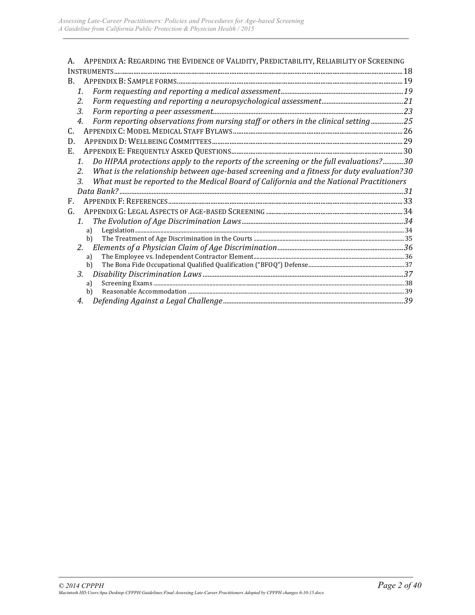| APPENDIX A: REGARDING THE EVIDENCE OF VALIDITY, PREDICTABILITY, RELIABILITY OF SCREENING        |  |
|-------------------------------------------------------------------------------------------------|--|
|                                                                                                 |  |
| B.                                                                                              |  |
| 1.                                                                                              |  |
| 2.                                                                                              |  |
| 3.                                                                                              |  |
| Form reporting observations from nursing staff or others in the clinical setting 25<br>4.       |  |
| С.                                                                                              |  |
| D.                                                                                              |  |
| Е.                                                                                              |  |
| Do HIPAA protections apply to the reports of the screening or the full evaluations?30<br>1.     |  |
| What is the relationship between age-based screening and a fitness for duty evaluation?30<br>2. |  |
| What must be reported to the Medical Board of California and the National Practitioners<br>3.   |  |
|                                                                                                 |  |
| F.                                                                                              |  |
| G.                                                                                              |  |
| 1.                                                                                              |  |
| a)                                                                                              |  |
| b)                                                                                              |  |
| $2^{\circ}$                                                                                     |  |
| a)                                                                                              |  |
| b)                                                                                              |  |
| 3.                                                                                              |  |
| a)<br>b)                                                                                        |  |
| 4.                                                                                              |  |
|                                                                                                 |  |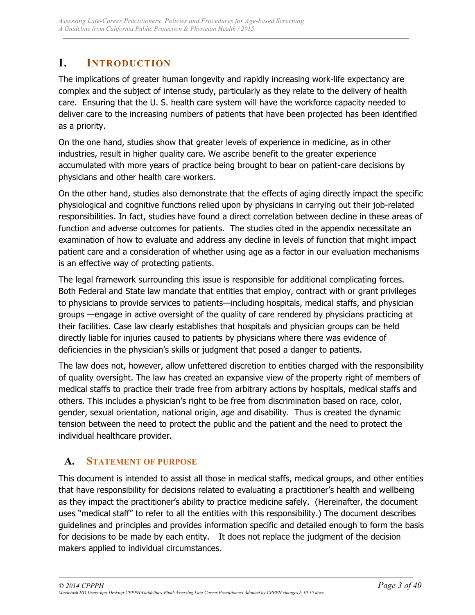## **I. INTRODUCTION**

The implications of greater human longevity and rapidly increasing work-life expectancy are complex and the subject of intense study, particularly as they relate to the delivery of health care. Ensuring that the U. S. health care system will have the workforce capacity needed to deliver care to the increasing numbers of patients that have been projected has been identified as a priority.

On the one hand, studies show that greater levels of experience in medicine, as in other industries, result in higher quality care. We ascribe benefit to the greater experience accumulated with more years of practice being brought to bear on patient-care decisions by physicians and other health care workers.

On the other hand, studies also demonstrate that the effects of aging directly impact the specific physiological and cognitive functions relied upon by physicians in carrying out their job-related responsibilities. In fact, studies have found a direct correlation between decline in these areas of function and adverse outcomes for patients. The studies cited in the appendix necessitate an examination of how to evaluate and address any decline in levels of function that might impact patient care and a consideration of whether using age as a factor in our evaluation mechanisms is an effective way of protecting patients.

The legal framework surrounding this issue is responsible for additional complicating forces. Both Federal and State law mandate that entities that employ, contract with or grant privileges to physicians to provide services to patients—including hospitals, medical staffs, and physician groups —engage in active oversight of the quality of care rendered by physicians practicing at their facilities. Case law clearly establishes that hospitals and physician groups can be held directly liable for injuries caused to patients by physicians where there was evidence of deficiencies in the physician's skills or judgment that posed a danger to patients.

The law does not, however, allow unfettered discretion to entities charged with the responsibility of quality oversight. The law has created an expansive view of the property right of members of medical staffs to practice their trade free from arbitrary actions by hospitals, medical staffs and others. This includes a physician's right to be free from discrimination based on race, color, gender, sexual orientation, national origin, age and disability. Thus is created the dynamic tension between the need to protect the public and the patient and the need to protect the individual healthcare provider.

## **A. STATEMENT OF PURPOSE**

This document is intended to assist all those in medical staffs, medical groups, and other entities that have responsibility for decisions related to evaluating a practitioner's health and wellbeing as they impact the practitioner's ability to practice medicine safely. (Hereinafter, the document uses "medical staff" to refer to all the entities with this responsibility.) The document describes guidelines and principles and provides information specific and detailed enough to form the basis for decisions to be made by each entity. It does not replace the judgment of the decision makers applied to individual circumstances.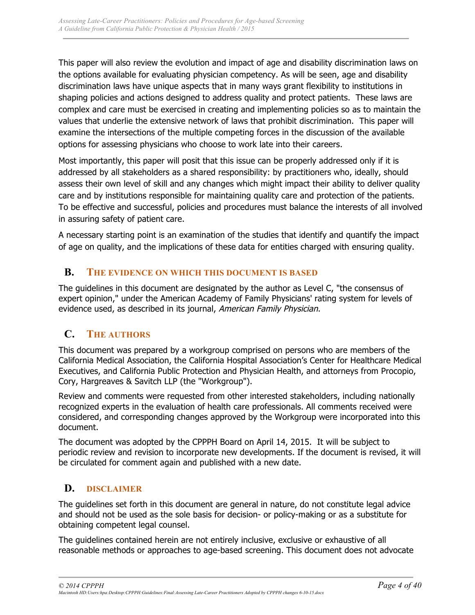This paper will also review the evolution and impact of age and disability discrimination laws on the options available for evaluating physician competency. As will be seen, age and disability discrimination laws have unique aspects that in many ways grant flexibility to institutions in shaping policies and actions designed to address quality and protect patients. These laws are complex and care must be exercised in creating and implementing policies so as to maintain the values that underlie the extensive network of laws that prohibit discrimination. This paper will examine the intersections of the multiple competing forces in the discussion of the available options for assessing physicians who choose to work late into their careers.

Most importantly, this paper will posit that this issue can be properly addressed only if it is addressed by all stakeholders as a shared responsibility: by practitioners who, ideally, should assess their own level of skill and any changes which might impact their ability to deliver quality care and by institutions responsible for maintaining quality care and protection of the patients. To be effective and successful, policies and procedures must balance the interests of all involved in assuring safety of patient care.

A necessary starting point is an examination of the studies that identify and quantify the impact of age on quality, and the implications of these data for entities charged with ensuring quality.

## **B. THE EVIDENCE ON WHICH THIS DOCUMENT IS BASED**

The guidelines in this document are designated by the author as Level C, "the consensus of expert opinion," under the American Academy of Family Physicians' rating system for levels of evidence used, as described in its journal, American Family Physician.

## **C. THE AUTHORS**

This document was prepared by a workgroup comprised on persons who are members of the California Medical Association, the California Hospital Association's Center for Healthcare Medical Executives, and California Public Protection and Physician Health, and attorneys from Procopio, Cory, Hargreaves & Savitch LLP (the "Workgroup").

Review and comments were requested from other interested stakeholders, including nationally recognized experts in the evaluation of health care professionals. All comments received were considered, and corresponding changes approved by the Workgroup were incorporated into this document.

The document was adopted by the CPPPH Board on April 14, 2015. It will be subject to periodic review and revision to incorporate new developments. If the document is revised, it will be circulated for comment again and published with a new date.

## **D. DISCLAIMER**

The guidelines set forth in this document are general in nature, do not constitute legal advice and should not be used as the sole basis for decision- or policy-making or as a substitute for obtaining competent legal counsel.

The guidelines contained herein are not entirely inclusive, exclusive or exhaustive of all reasonable methods or approaches to age-based screening. This document does not advocate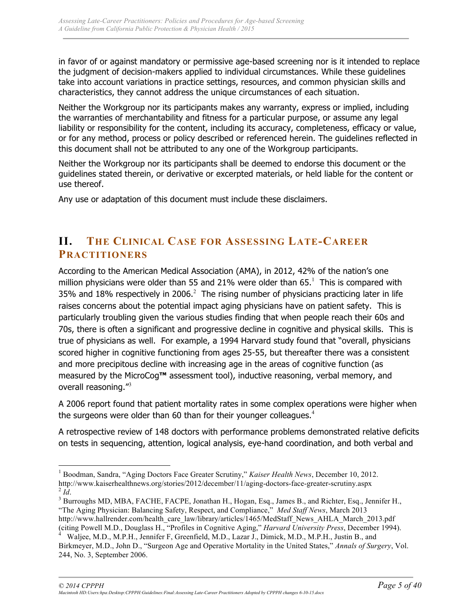in favor of or against mandatory or permissive age-based screening nor is it intended to replace the judgment of decision-makers applied to individual circumstances. While these guidelines take into account variations in practice settings, resources, and common physician skills and characteristics, they cannot address the unique circumstances of each situation.

Neither the Workgroup nor its participants makes any warranty, express or implied, including the warranties of merchantability and fitness for a particular purpose, or assume any legal liability or responsibility for the content, including its accuracy, completeness, efficacy or value, or for any method, process or policy described or referenced herein. The guidelines reflected in this document shall not be attributed to any one of the Workgroup participants.

Neither the Workgroup nor its participants shall be deemed to endorse this document or the guidelines stated therein, or derivative or excerpted materials, or held liable for the content or use thereof.

Any use or adaptation of this document must include these disclaimers.

## **II. THE CLINICAL CASE FOR ASSESSING LATE-CAREER PRACTITIONERS**

According to the American Medical Association (AMA), in 2012, 42% of the nation's one million physicians were older than 55 and 21% were older than 65. $<sup>1</sup>$  This is compared with</sup> 35% and 18% respectively in 2006. $^2$  The rising number of physicians practicing later in life raises concerns about the potential impact aging physicians have on patient safety. This is particularly troubling given the various studies finding that when people reach their 60s and 70s, there is often a significant and progressive decline in cognitive and physical skills. This is true of physicians as well. For example, a 1994 Harvard study found that "overall, physicians scored higher in cognitive functioning from ages 25-55, but thereafter there was a consistent and more precipitous decline with increasing age in the areas of cognitive function (as measured by the MicroCog**™** assessment tool), inductive reasoning, verbal memory, and overall reasoning."<sup>3</sup>

A 2006 report found that patient mortality rates in some complex operations were higher when the surgeons were older than 60 than for their younger colleagues.<sup>4</sup>

A retrospective review of 148 doctors with performance problems demonstrated relative deficits on tests in sequencing, attention, logical analysis, eye-hand coordination, and both verbal and

<sup>&</sup>lt;sup>1</sup> Boodman, Sandra, "Aging Doctors Face Greater Scrutiny," *Kaiser Health News*, December 10, 2012.<br>http://www.kaiserhealthnews.org/stories/2012/december/11/aging-doctors-face-greater-scrutiny.aspx <sup>2</sup> *Id.*<br><sup>3</sup> Burroughs MD, MBA, FACHE, FACPE, Jonathan H., Hogan, Esq., James B., and Richter, Esq., Jennifer H.,

<sup>&</sup>quot;The Aging Physician: Balancing Safety, Respect, and Compliance," *Med Staff News*, March 2013 http://www.hallrender.com/health\_care\_law/library/articles/1465/MedStaff\_News\_AHLA\_March\_2013.pdf

<sup>(</sup>citing Powell M.D., Douglass H., "Profiles in Cognitive Aging," *Harvard University Press*, December 1994). <sup>4</sup>

Waljee, M.D., M.P.H., Jennifer F, Greenfield, M.D., Lazar J., Dimick, M.D., M.P.H., Justin B., and Birkmeyer, M.D., John D., "Surgeon Age and Operative Mortality in the United States," *Annals of Surgery*, Vol. 244, No. 3, September 2006.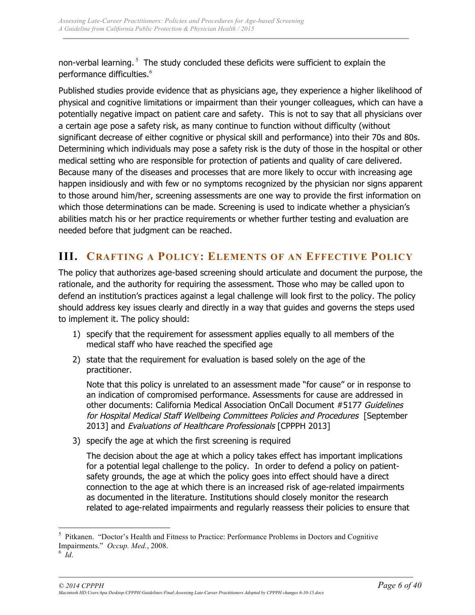non-verbal learning.  $5$  The study concluded these deficits were sufficient to explain the performance difficulties.<sup>6</sup>

Published studies provide evidence that as physicians age, they experience a higher likelihood of physical and cognitive limitations or impairment than their younger colleagues, which can have a potentially negative impact on patient care and safety. This is not to say that all physicians over a certain age pose a safety risk, as many continue to function without difficulty (without significant decrease of either cognitive or physical skill and performance) into their 70s and 80s. Determining which individuals may pose a safety risk is the duty of those in the hospital or other medical setting who are responsible for protection of patients and quality of care delivered. Because many of the diseases and processes that are more likely to occur with increasing age happen insidiously and with few or no symptoms recognized by the physician nor signs apparent to those around him/her, screening assessments are one way to provide the first information on which those determinations can be made. Screening is used to indicate whether a physician's abilities match his or her practice requirements or whether further testing and evaluation are needed before that judgment can be reached.

## **III. CRAFTING A POLICY: ELEMENTS OF AN EFFECTIVE POLICY**

The policy that authorizes age-based screening should articulate and document the purpose, the rationale, and the authority for requiring the assessment. Those who may be called upon to defend an institution's practices against a legal challenge will look first to the policy. The policy should address key issues clearly and directly in a way that guides and governs the steps used to implement it. The policy should:

- 1) specify that the requirement for assessment applies equally to all members of the medical staff who have reached the specified age
- 2) state that the requirement for evaluation is based solely on the age of the practitioner.

Note that this policy is unrelated to an assessment made "for cause" or in response to an indication of compromised performance. Assessments for cause are addressed in other documents: California Medical Association OnCall Document #5177 Guidelines for Hospital Medical Staff Wellbeing Committees Policies and Procedures [September 2013] and Evaluations of Healthcare Professionals [CPPPH 2013]

3) specify the age at which the first screening is required

The decision about the age at which a policy takes effect has important implications for a potential legal challenge to the policy. In order to defend a policy on patientsafety grounds, the age at which the policy goes into effect should have a direct connection to the age at which there is an increased risk of age-related impairments as documented in the literature. Institutions should closely monitor the research related to age-related impairments and regularly reassess their policies to ensure that

 $\frac{1}{5}$ <sup>5</sup> Pitkanen. "Doctor's Health and Fitness to Practice: Performance Problems in Doctors and Cognitive Impairments." Occup. Med., 2008.

 $\delta$  Id.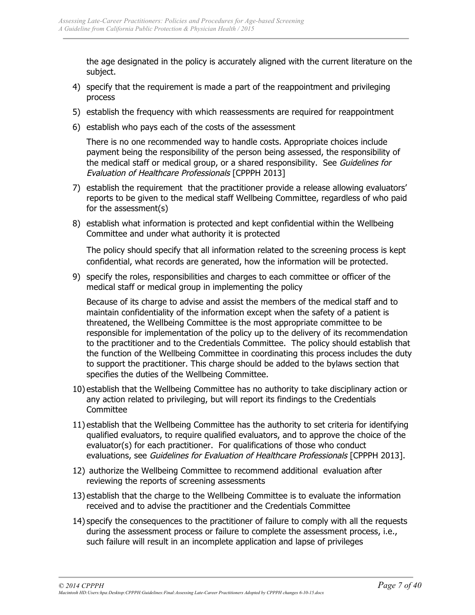the age designated in the policy is accurately aligned with the current literature on the subject.

- 4) specify that the requirement is made a part of the reappointment and privileging process
- 5) establish the frequency with which reassessments are required for reappointment
- 6) establish who pays each of the costs of the assessment

There is no one recommended way to handle costs. Appropriate choices include payment being the responsibility of the person being assessed, the responsibility of the medical staff or medical group, or a shared responsibility. See Guidelines for Evaluation of Healthcare Professionals [CPPPH 2013]

- 7) establish the requirement that the practitioner provide a release allowing evaluators' reports to be given to the medical staff Wellbeing Committee, regardless of who paid for the assessment(s)
- 8) establish what information is protected and kept confidential within the Wellbeing Committee and under what authority it is protected

The policy should specify that all information related to the screening process is kept confidential, what records are generated, how the information will be protected.

9) specify the roles, responsibilities and charges to each committee or officer of the medical staff or medical group in implementing the policy

Because of its charge to advise and assist the members of the medical staff and to maintain confidentiality of the information except when the safety of a patient is threatened, the Wellbeing Committee is the most appropriate committee to be responsible for implementation of the policy up to the delivery of its recommendation to the practitioner and to the Credentials Committee. The policy should establish that the function of the Wellbeing Committee in coordinating this process includes the duty to support the practitioner. This charge should be added to the bylaws section that specifies the duties of the Wellbeing Committee.

- 10) establish that the Wellbeing Committee has no authority to take disciplinary action or any action related to privileging, but will report its findings to the Credentials **Committee**
- 11) establish that the Wellbeing Committee has the authority to set criteria for identifying qualified evaluators, to require qualified evaluators, and to approve the choice of the evaluator(s) for each practitioner. For qualifications of those who conduct evaluations, see Guidelines for Evaluation of Healthcare Professionals [CPPPH 2013].
- 12) authorize the Wellbeing Committee to recommend additional evaluation after reviewing the reports of screening assessments
- 13) establish that the charge to the Wellbeing Committee is to evaluate the information received and to advise the practitioner and the Credentials Committee
- 14) specify the consequences to the practitioner of failure to comply with all the requests during the assessment process or failure to complete the assessment process, i.e., such failure will result in an incomplete application and lapse of privileges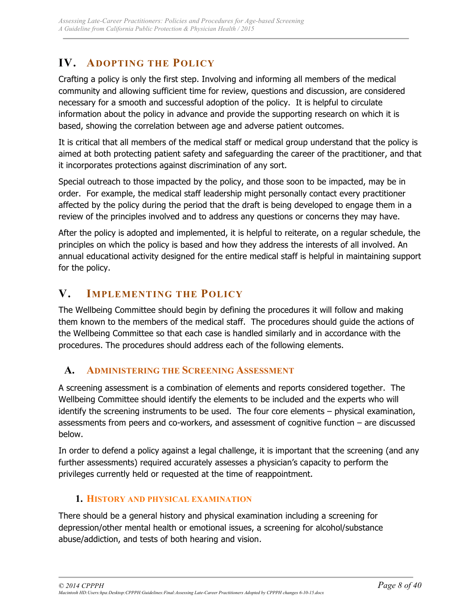## **IV. ADOPTING THE POLICY**

Crafting a policy is only the first step. Involving and informing all members of the medical community and allowing sufficient time for review, questions and discussion, are considered necessary for a smooth and successful adoption of the policy. It is helpful to circulate information about the policy in advance and provide the supporting research on which it is based, showing the correlation between age and adverse patient outcomes.

It is critical that all members of the medical staff or medical group understand that the policy is aimed at both protecting patient safety and safeguarding the career of the practitioner, and that it incorporates protections against discrimination of any sort.

Special outreach to those impacted by the policy, and those soon to be impacted, may be in order. For example, the medical staff leadership might personally contact every practitioner affected by the policy during the period that the draft is being developed to engage them in a review of the principles involved and to address any questions or concerns they may have.

After the policy is adopted and implemented, it is helpful to reiterate, on a regular schedule, the principles on which the policy is based and how they address the interests of all involved. An annual educational activity designed for the entire medical staff is helpful in maintaining support for the policy.

## **V. IMPLEMENTING THE POLICY**

The Wellbeing Committee should begin by defining the procedures it will follow and making them known to the members of the medical staff. The procedures should guide the actions of the Wellbeing Committee so that each case is handled similarly and in accordance with the procedures. The procedures should address each of the following elements.

## **A. ADMINISTERING THE SCREENING ASSESSMENT**

A screening assessment is a combination of elements and reports considered together. The Wellbeing Committee should identify the elements to be included and the experts who will identify the screening instruments to be used. The four core elements – physical examination, assessments from peers and co-workers, and assessment of cognitive function – are discussed below.

In order to defend a policy against a legal challenge, it is important that the screening (and any further assessments) required accurately assesses a physician's capacity to perform the privileges currently held or requested at the time of reappointment.

## **1. HISTORY AND PHYSICAL EXAMINATION**

There should be a general history and physical examination including a screening for depression/other mental health or emotional issues, a screening for alcohol/substance abuse/addiction, and tests of both hearing and vision.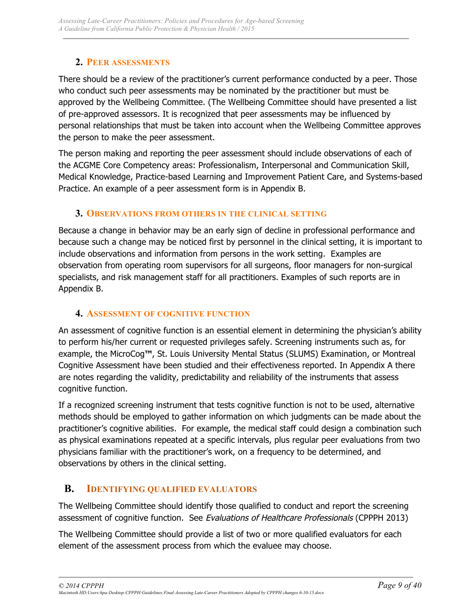### **2. PEER ASSESSMENTS**

There should be a review of the practitioner's current performance conducted by a peer. Those who conduct such peer assessments may be nominated by the practitioner but must be approved by the Wellbeing Committee. (The Wellbeing Committee should have presented a list of pre-approved assessors. It is recognized that peer assessments may be influenced by personal relationships that must be taken into account when the Wellbeing Committee approves the person to make the peer assessment.

The person making and reporting the peer assessment should include observations of each of the ACGME Core Competency areas: Professionalism, Interpersonal and Communication Skill, Medical Knowledge, Practice-based Learning and Improvement Patient Care, and Systems-based Practice. An example of a peer assessment form is in Appendix B.

### **3. OBSERVATIONS FROM OTHERS IN THE CLINICAL SETTING**

Because a change in behavior may be an early sign of decline in professional performance and because such a change may be noticed first by personnel in the clinical setting, it is important to include observations and information from persons in the work setting. Examples are observation from operating room supervisors for all surgeons, floor managers for non-surgical specialists, and risk management staff for all practitioners. Examples of such reports are in Appendix B.

## **4. ASSESSMENT OF COGNITIVE FUNCTION**

An assessment of cognitive function is an essential element in determining the physician's ability to perform his/her current or requested privileges safely. Screening instruments such as, for example, the MicroCog**™**, St. Louis University Mental Status (SLUMS) Examination, or Montreal Cognitive Assessment have been studied and their effectiveness reported. In Appendix A there are notes regarding the validity, predictability and reliability of the instruments that assess cognitive function.

If a recognized screening instrument that tests cognitive function is not to be used, alternative methods should be employed to gather information on which judgments can be made about the practitioner's cognitive abilities. For example, the medical staff could design a combination such as physical examinations repeated at a specific intervals, plus regular peer evaluations from two physicians familiar with the practitioner's work, on a frequency to be determined, and observations by others in the clinical setting.

## **B. IDENTIFYING QUALIFIED EVALUATORS**

The Wellbeing Committee should identify those qualified to conduct and report the screening assessment of cognitive function. See Evaluations of Healthcare Professionals (CPPPH 2013)

The Wellbeing Committee should provide a list of two or more qualified evaluators for each element of the assessment process from which the evaluee may choose.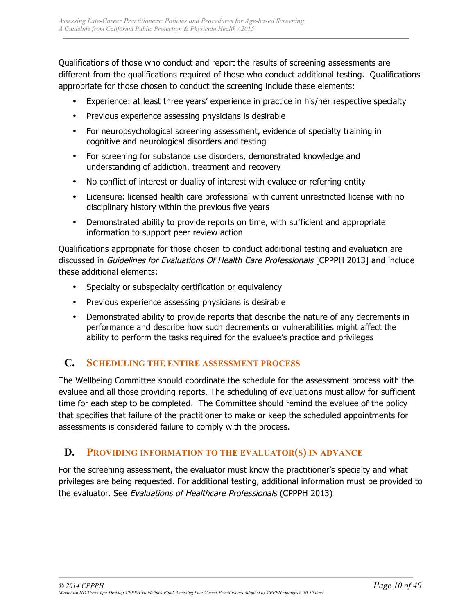Qualifications of those who conduct and report the results of screening assessments are different from the qualifications required of those who conduct additional testing. Qualifications appropriate for those chosen to conduct the screening include these elements:

- Experience: at least three years' experience in practice in his/her respective specialty
- Previous experience assessing physicians is desirable
- For neuropsychological screening assessment, evidence of specialty training in cognitive and neurological disorders and testing
- For screening for substance use disorders, demonstrated knowledge and understanding of addiction, treatment and recovery
- No conflict of interest or duality of interest with evaluee or referring entity
- Licensure: licensed health care professional with current unrestricted license with no disciplinary history within the previous five years
- Demonstrated ability to provide reports on time, with sufficient and appropriate information to support peer review action

Qualifications appropriate for those chosen to conduct additional testing and evaluation are discussed in Guidelines for Evaluations Of Health Care Professionals [CPPPH 2013] and include these additional elements:

- Specialty or subspecialty certification or equivalency
- Previous experience assessing physicians is desirable
- Demonstrated ability to provide reports that describe the nature of any decrements in performance and describe how such decrements or vulnerabilities might affect the ability to perform the tasks required for the evaluee's practice and privileges

## **C. SCHEDULING THE ENTIRE ASSESSMENT PROCESS**

The Wellbeing Committee should coordinate the schedule for the assessment process with the evaluee and all those providing reports. The scheduling of evaluations must allow for sufficient time for each step to be completed. The Committee should remind the evaluee of the policy that specifies that failure of the practitioner to make or keep the scheduled appointments for assessments is considered failure to comply with the process.

## **D. PROVIDING INFORMATION TO THE EVALUATOR(S) IN ADVANCE**

For the screening assessment, the evaluator must know the practitioner's specialty and what privileges are being requested. For additional testing, additional information must be provided to the evaluator. See Evaluations of Healthcare Professionals (CPPPH 2013)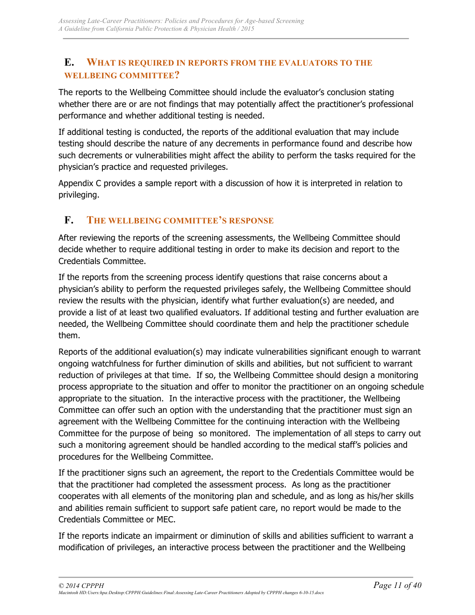## **E. WHAT IS REQUIRED IN REPORTS FROM THE EVALUATORS TO THE WELLBEING COMMITTEE?**

The reports to the Wellbeing Committee should include the evaluator's conclusion stating whether there are or are not findings that may potentially affect the practitioner's professional performance and whether additional testing is needed.

If additional testing is conducted, the reports of the additional evaluation that may include testing should describe the nature of any decrements in performance found and describe how such decrements or vulnerabilities might affect the ability to perform the tasks required for the physician's practice and requested privileges.

Appendix C provides a sample report with a discussion of how it is interpreted in relation to privileging.

## **F. THE WELLBEING COMMITTEE'S RESPONSE**

After reviewing the reports of the screening assessments, the Wellbeing Committee should decide whether to require additional testing in order to make its decision and report to the Credentials Committee.

If the reports from the screening process identify questions that raise concerns about a physician's ability to perform the requested privileges safely, the Wellbeing Committee should review the results with the physician, identify what further evaluation(s) are needed, and provide a list of at least two qualified evaluators. If additional testing and further evaluation are needed, the Wellbeing Committee should coordinate them and help the practitioner schedule them.

Reports of the additional evaluation(s) may indicate vulnerabilities significant enough to warrant ongoing watchfulness for further diminution of skills and abilities, but not sufficient to warrant reduction of privileges at that time. If so, the Wellbeing Committee should design a monitoring process appropriate to the situation and offer to monitor the practitioner on an ongoing schedule appropriate to the situation. In the interactive process with the practitioner, the Wellbeing Committee can offer such an option with the understanding that the practitioner must sign an agreement with the Wellbeing Committee for the continuing interaction with the Wellbeing Committee for the purpose of being so monitored. The implementation of all steps to carry out such a monitoring agreement should be handled according to the medical staff's policies and procedures for the Wellbeing Committee.

If the practitioner signs such an agreement, the report to the Credentials Committee would be that the practitioner had completed the assessment process. As long as the practitioner cooperates with all elements of the monitoring plan and schedule, and as long as his/her skills and abilities remain sufficient to support safe patient care, no report would be made to the Credentials Committee or MEC.

If the reports indicate an impairment or diminution of skills and abilities sufficient to warrant a modification of privileges, an interactive process between the practitioner and the Wellbeing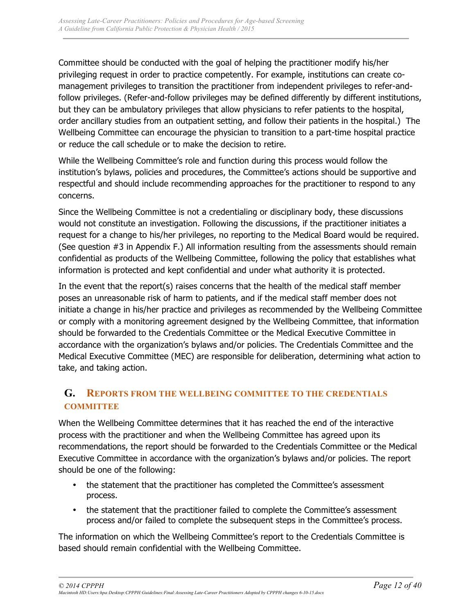Committee should be conducted with the goal of helping the practitioner modify his/her privileging request in order to practice competently. For example, institutions can create comanagement privileges to transition the practitioner from independent privileges to refer-andfollow privileges. (Refer-and-follow privileges may be defined differently by different institutions, but they can be ambulatory privileges that allow physicians to refer patients to the hospital, order ancillary studies from an outpatient setting, and follow their patients in the hospital.) The Wellbeing Committee can encourage the physician to transition to a part-time hospital practice or reduce the call schedule or to make the decision to retire.

While the Wellbeing Committee's role and function during this process would follow the institution's bylaws, policies and procedures, the Committee's actions should be supportive and respectful and should include recommending approaches for the practitioner to respond to any concerns.

Since the Wellbeing Committee is not a credentialing or disciplinary body, these discussions would not constitute an investigation. Following the discussions, if the practitioner initiates a request for a change to his/her privileges, no reporting to the Medical Board would be required. (See question #3 in Appendix F.) All information resulting from the assessments should remain confidential as products of the Wellbeing Committee, following the policy that establishes what information is protected and kept confidential and under what authority it is protected.

In the event that the report(s) raises concerns that the health of the medical staff member poses an unreasonable risk of harm to patients, and if the medical staff member does not initiate a change in his/her practice and privileges as recommended by the Wellbeing Committee or comply with a monitoring agreement designed by the Wellbeing Committee, that information should be forwarded to the Credentials Committee or the Medical Executive Committee in accordance with the organization's bylaws and/or policies. The Credentials Committee and the Medical Executive Committee (MEC) are responsible for deliberation, determining what action to take, and taking action.

## **G. REPORTS FROM THE WELLBEING COMMITTEE TO THE CREDENTIALS COMMITTEE**

When the Wellbeing Committee determines that it has reached the end of the interactive process with the practitioner and when the Wellbeing Committee has agreed upon its recommendations, the report should be forwarded to the Credentials Committee or the Medical Executive Committee in accordance with the organization's bylaws and/or policies. The report should be one of the following:

- the statement that the practitioner has completed the Committee's assessment process.
- the statement that the practitioner failed to complete the Committee's assessment process and/or failed to complete the subsequent steps in the Committee's process.

The information on which the Wellbeing Committee's report to the Credentials Committee is based should remain confidential with the Wellbeing Committee.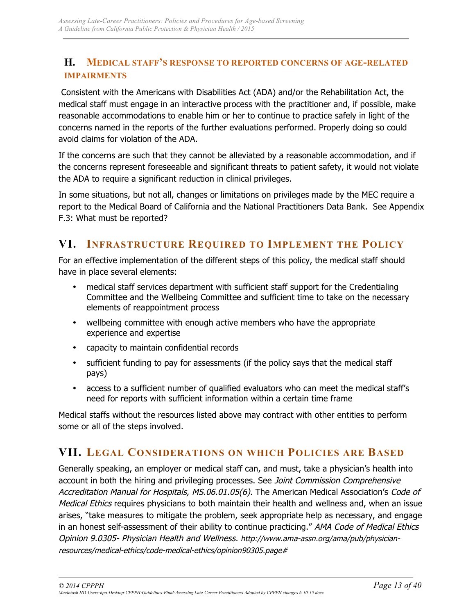## **H. MEDICAL STAFF'S RESPONSE TO REPORTED CONCERNS OF AGE-RELATED IMPAIRMENTS**

Consistent with the Americans with Disabilities Act (ADA) and/or the Rehabilitation Act, the medical staff must engage in an interactive process with the practitioner and, if possible, make reasonable accommodations to enable him or her to continue to practice safely in light of the concerns named in the reports of the further evaluations performed. Properly doing so could avoid claims for violation of the ADA.

If the concerns are such that they cannot be alleviated by a reasonable accommodation, and if the concerns represent foreseeable and significant threats to patient safety, it would not violate the ADA to require a significant reduction in clinical privileges.

In some situations, but not all, changes or limitations on privileges made by the MEC require a report to the Medical Board of California and the National Practitioners Data Bank. See Appendix F.3: What must be reported?

## **VI. INFRASTRUCTURE REQUIRED TO IMPLEMENT THE POLICY**

For an effective implementation of the different steps of this policy, the medical staff should have in place several elements:

- medical staff services department with sufficient staff support for the Credentialing Committee and the Wellbeing Committee and sufficient time to take on the necessary elements of reappointment process
- wellbeing committee with enough active members who have the appropriate experience and expertise
- capacity to maintain confidential records
- sufficient funding to pay for assessments (if the policy says that the medical staff pays)
- access to a sufficient number of qualified evaluators who can meet the medical staff's need for reports with sufficient information within a certain time frame

Medical staffs without the resources listed above may contract with other entities to perform some or all of the steps involved.

## **VII. LEGAL CONSIDERATIONS ON WHICH POLICIES ARE BASED**

Generally speaking, an employer or medical staff can, and must, take a physician's health into account in both the hiring and privileging processes. See Joint Commission Comprehensive Accreditation Manual for Hospitals, MS.06.01.05(6). The American Medical Association's Code of Medical Ethics requires physicians to both maintain their health and wellness and, when an issue arises, "take measures to mitigate the problem, seek appropriate help as necessary, and engage in an honest self-assessment of their ability to continue practicing." AMA Code of Medical Ethics Opinion 9.0305- Physician Health and Wellness. http://www.ama-assn.org/ama/pub/physicianresources/medical-ethics/code-medical-ethics/opinion90305.page#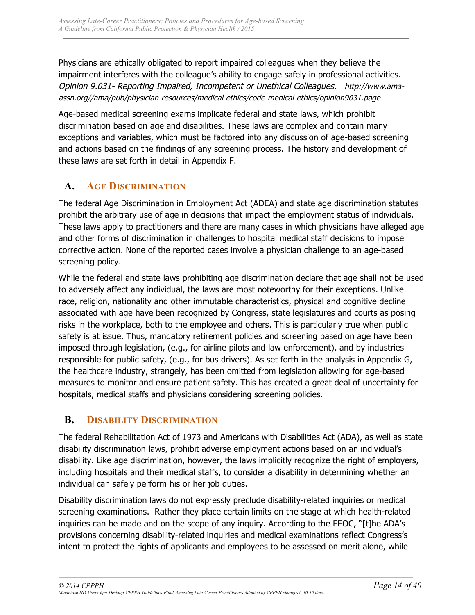Physicians are ethically obligated to report impaired colleagues when they believe the impairment interferes with the colleague's ability to engage safely in professional activities. Opinion 9.031- Reporting Impaired, Incompetent or Unethical Colleagues. http://www.amaassn.org//ama/pub/physician-resources/medical-ethics/code-medical-ethics/opinion9031.page

Age-based medical screening exams implicate federal and state laws, which prohibit discrimination based on age and disabilities. These laws are complex and contain many exceptions and variables, which must be factored into any discussion of age-based screening and actions based on the findings of any screening process. The history and development of these laws are set forth in detail in Appendix F.

## **A. AGE DISCRIMINATION**

The federal Age Discrimination in Employment Act (ADEA) and state age discrimination statutes prohibit the arbitrary use of age in decisions that impact the employment status of individuals. These laws apply to practitioners and there are many cases in which physicians have alleged age and other forms of discrimination in challenges to hospital medical staff decisions to impose corrective action. None of the reported cases involve a physician challenge to an age-based screening policy.

While the federal and state laws prohibiting age discrimination declare that age shall not be used to adversely affect any individual, the laws are most noteworthy for their exceptions. Unlike race, religion, nationality and other immutable characteristics, physical and cognitive decline associated with age have been recognized by Congress, state legislatures and courts as posing risks in the workplace, both to the employee and others. This is particularly true when public safety is at issue. Thus, mandatory retirement policies and screening based on age have been imposed through legislation, (e.g., for airline pilots and law enforcement), and by industries responsible for public safety, (e.g., for bus drivers). As set forth in the analysis in Appendix G, the healthcare industry, strangely, has been omitted from legislation allowing for age-based measures to monitor and ensure patient safety. This has created a great deal of uncertainty for hospitals, medical staffs and physicians considering screening policies.

## **B. DISABILITY DISCRIMINATION**

The federal Rehabilitation Act of 1973 and Americans with Disabilities Act (ADA), as well as state disability discrimination laws, prohibit adverse employment actions based on an individual's disability. Like age discrimination, however, the laws implicitly recognize the right of employers, including hospitals and their medical staffs, to consider a disability in determining whether an individual can safely perform his or her job duties.

Disability discrimination laws do not expressly preclude disability-related inquiries or medical screening examinations. Rather they place certain limits on the stage at which health-related inquiries can be made and on the scope of any inquiry. According to the EEOC, "[t]he ADA's provisions concerning disability-related inquiries and medical examinations reflect Congress's intent to protect the rights of applicants and employees to be assessed on merit alone, while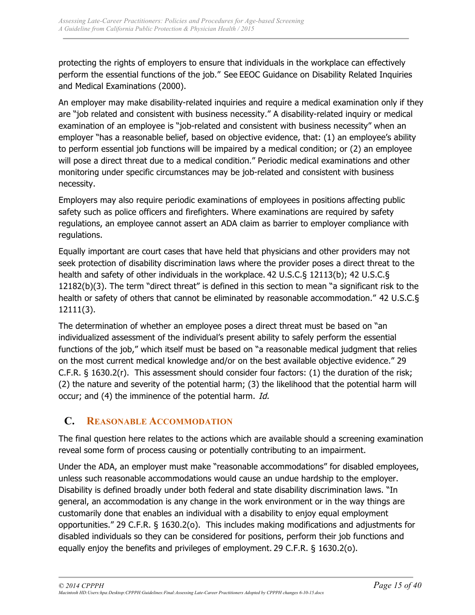protecting the rights of employers to ensure that individuals in the workplace can effectively perform the essential functions of the job." See EEOC Guidance on Disability Related Inquiries and Medical Examinations (2000).

An employer may make disability-related inquiries and require a medical examination only if they are "job related and consistent with business necessity." A disability-related inquiry or medical examination of an employee is "job-related and consistent with business necessity" when an employer "has a reasonable belief, based on objective evidence, that: (1) an employee's ability to perform essential job functions will be impaired by a medical condition; or (2) an employee will pose a direct threat due to a medical condition." Periodic medical examinations and other monitoring under specific circumstances may be job-related and consistent with business necessity.

Employers may also require periodic examinations of employees in positions affecting public safety such as police officers and firefighters. Where examinations are required by safety regulations, an employee cannot assert an ADA claim as barrier to employer compliance with regulations.

Equally important are court cases that have held that physicians and other providers may not seek protection of disability discrimination laws where the provider poses a direct threat to the health and safety of other individuals in the workplace. 42 U.S.C.§ 12113(b); 42 U.S.C.§ 12182(b)(3). The term "direct threat" is defined in this section to mean "a significant risk to the health or safety of others that cannot be eliminated by reasonable accommodation." 42 U.S.C.§ 12111(3).

The determination of whether an employee poses a direct threat must be based on "an individualized assessment of the individual's present ability to safely perform the essential functions of the job," which itself must be based on "a reasonable medical judgment that relies on the most current medical knowledge and/or on the best available objective evidence." 29 C.F.R. § 1630.2(r). This assessment should consider four factors: (1) the duration of the risk; (2) the nature and severity of the potential harm; (3) the likelihood that the potential harm will occur; and (4) the imminence of the potential harm. Id.

## **C. REASONABLE ACCOMMODATION**

The final question here relates to the actions which are available should a screening examination reveal some form of process causing or potentially contributing to an impairment.

Under the ADA, an employer must make "reasonable accommodations" for disabled employees, unless such reasonable accommodations would cause an undue hardship to the employer. Disability is defined broadly under both federal and state disability discrimination laws. "In general, an accommodation is any change in the work environment or in the way things are customarily done that enables an individual with a disability to enjoy equal employment opportunities." 29 C.F.R. § 1630.2(o). This includes making modifications and adjustments for disabled individuals so they can be considered for positions, perform their job functions and equally enjoy the benefits and privileges of employment. 29 C.F.R. § 1630.2(o).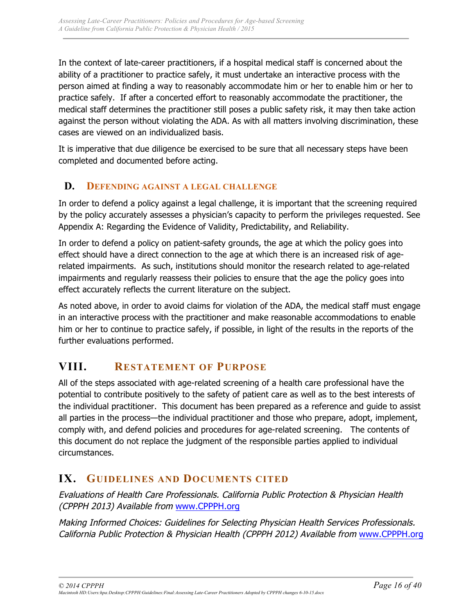In the context of late-career practitioners, if a hospital medical staff is concerned about the ability of a practitioner to practice safely, it must undertake an interactive process with the person aimed at finding a way to reasonably accommodate him or her to enable him or her to practice safely. If after a concerted effort to reasonably accommodate the practitioner, the medical staff determines the practitioner still poses a public safety risk, it may then take action against the person without violating the ADA. As with all matters involving discrimination, these cases are viewed on an individualized basis.

It is imperative that due diligence be exercised to be sure that all necessary steps have been completed and documented before acting.

## **D. DEFENDING AGAINST A LEGAL CHALLENGE**

In order to defend a policy against a legal challenge, it is important that the screening required by the policy accurately assesses a physician's capacity to perform the privileges requested. See Appendix A: Regarding the Evidence of Validity, Predictability, and Reliability.

In order to defend a policy on patient-safety grounds, the age at which the policy goes into effect should have a direct connection to the age at which there is an increased risk of agerelated impairments. As such, institutions should monitor the research related to age-related impairments and regularly reassess their policies to ensure that the age the policy goes into effect accurately reflects the current literature on the subject.

As noted above, in order to avoid claims for violation of the ADA, the medical staff must engage in an interactive process with the practitioner and make reasonable accommodations to enable him or her to continue to practice safely, if possible, in light of the results in the reports of the further evaluations performed.

## **VIII. RESTATEMENT OF PURPOSE**

All of the steps associated with age-related screening of a health care professional have the potential to contribute positively to the safety of patient care as well as to the best interests of the individual practitioner. This document has been prepared as a reference and guide to assist all parties in the process—the individual practitioner and those who prepare, adopt, implement, comply with, and defend policies and procedures for age-related screening. The contents of this document do not replace the judgment of the responsible parties applied to individual circumstances.

## **IX. GUIDELINES AND DOCUMENTS CITED**

Evaluations of Health Care Professionals. California Public Protection & Physician Health (CPPPH 2013) Available from www.CPPPH.org

Making Informed Choices: Guidelines for Selecting Physician Health Services Professionals. California Public Protection & Physician Health (CPPPH 2012) Available from www.CPPPH.org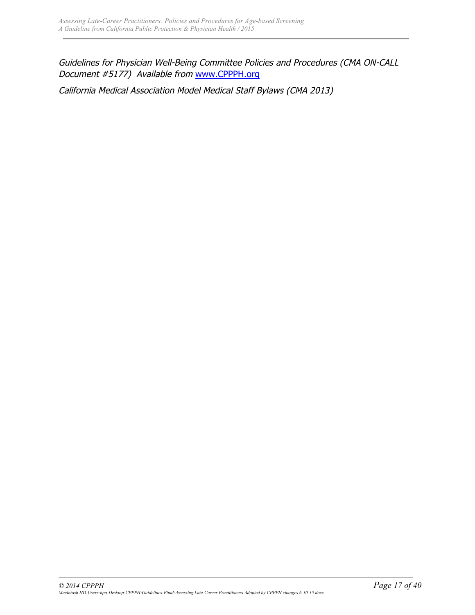Guidelines for Physician Well-Being Committee Policies and Procedures (CMA ON-CALL Document #5177) Available from www.CPPPH.org

California Medical Association Model Medical Staff Bylaws (CMA 2013)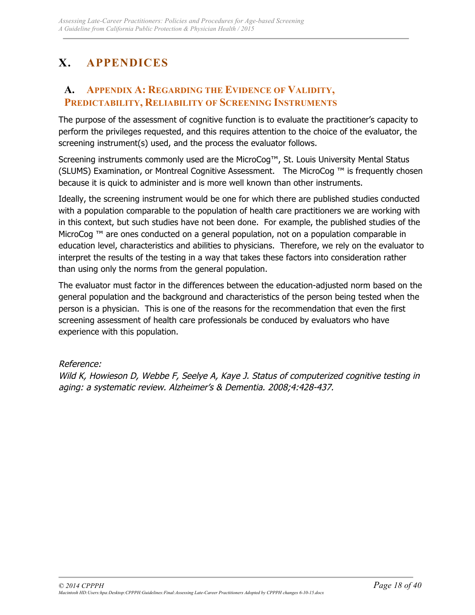# **X. APPENDICES**

## **A. APPENDIX A: REGARDING THE EVIDENCE OF VALIDITY, PREDICTABILITY, RELIABILITY OF SCREENING INSTRUMENTS**

The purpose of the assessment of cognitive function is to evaluate the practitioner's capacity to perform the privileges requested, and this requires attention to the choice of the evaluator, the screening instrument(s) used, and the process the evaluator follows.

Screening instruments commonly used are the MicroCog™, St. Louis University Mental Status (SLUMS) Examination, or Montreal Cognitive Assessment. The MicroCog ™ is frequently chosen because it is quick to administer and is more well known than other instruments.

Ideally, the screening instrument would be one for which there are published studies conducted with a population comparable to the population of health care practitioners we are working with in this context, but such studies have not been done. For example, the published studies of the MicroCog ™ are ones conducted on a general population, not on a population comparable in education level, characteristics and abilities to physicians. Therefore, we rely on the evaluator to interpret the results of the testing in a way that takes these factors into consideration rather than using only the norms from the general population.

The evaluator must factor in the differences between the education-adjusted norm based on the general population and the background and characteristics of the person being tested when the person is a physician. This is one of the reasons for the recommendation that even the first screening assessment of health care professionals be conduced by evaluators who have experience with this population.

## Reference:

Wild K, Howieson D, Webbe F, Seelye A, Kaye J. Status of computerized cognitive testing in aging: a systematic review. Alzheimer's & Dementia. 2008;4:428-437.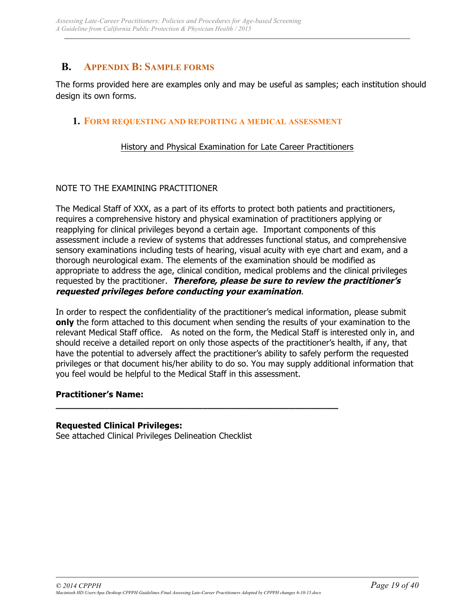## **B. APPENDIX B: SAMPLE FORMS**

The forms provided here are examples only and may be useful as samples; each institution should design its own forms.

### **1. FORM REQUESTING AND REPORTING A MEDICAL ASSESSMENT**

#### History and Physical Examination for Late Career Practitioners

### NOTE TO THE EXAMINING PRACTITIONER

The Medical Staff of XXX, as a part of its efforts to protect both patients and practitioners, requires a comprehensive history and physical examination of practitioners applying or reapplying for clinical privileges beyond a certain age. Important components of this assessment include a review of systems that addresses functional status, and comprehensive sensory examinations including tests of hearing, visual acuity with eye chart and exam, and a thorough neurological exam. The elements of the examination should be modified as appropriate to address the age, clinical condition, medical problems and the clinical privileges requested by the practitioner. **Therefore, please be sure to review the practitioner's requested privileges before conducting your examination**.

In order to respect the confidentiality of the practitioner's medical information, please submit **only** the form attached to this document when sending the results of your examination to the relevant Medical Staff office. As noted on the form, the Medical Staff is interested only in, and should receive a detailed report on only those aspects of the practitioner's health, if any, that have the potential to adversely affect the practitioner's ability to safely perform the requested privileges or that document his/her ability to do so. You may supply additional information that you feel would be helpful to the Medical Staff in this assessment.

#### **Practitioner's Name:**

#### **Requested Clinical Privileges:**

See attached Clinical Privileges Delineation Checklist

**\_\_\_\_\_\_\_\_\_\_\_\_\_\_\_\_\_\_\_\_\_\_\_\_\_\_\_\_\_\_\_\_\_\_\_\_\_\_\_\_\_\_\_\_\_\_\_\_\_\_\_\_**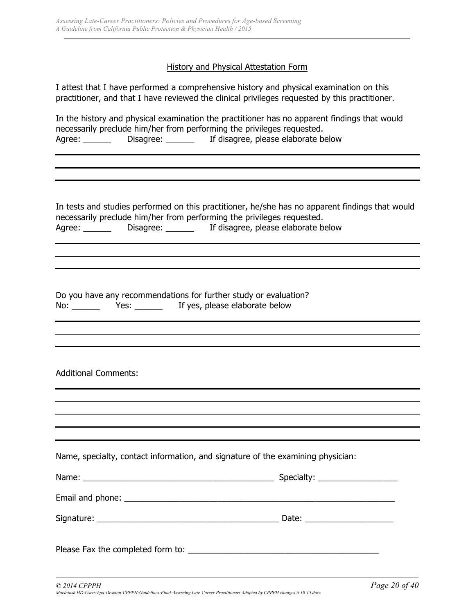#### History and Physical Attestation Form

I attest that I have performed a comprehensive history and physical examination on this practitioner, and that I have reviewed the clinical privileges requested by this practitioner.

|        |           | In the history and physical examination the practitioner has no apparent findings that would |
|--------|-----------|----------------------------------------------------------------------------------------------|
|        |           | necessarily preclude him/her from performing the privileges requested.                       |
| Agree: | Disagree: | If disagree, please elaborate below                                                          |

In tests and studies performed on this practitioner, he/she has no apparent findings that would necessarily preclude him/her from performing the privileges requested. Agree: \_\_\_\_\_\_\_ Disagree: \_\_\_\_\_\_\_ If disagree, please elaborate below

Do you have any recommendations for further study or evaluation? No: \_\_\_\_\_\_\_ Yes: \_\_\_\_\_\_ If yes, please elaborate below

#### Additional Comments:

| Name, specialty, contact information, and signature of the examining physician: |                               |
|---------------------------------------------------------------------------------|-------------------------------|
|                                                                                 |                               |
|                                                                                 |                               |
|                                                                                 | Date: _______________________ |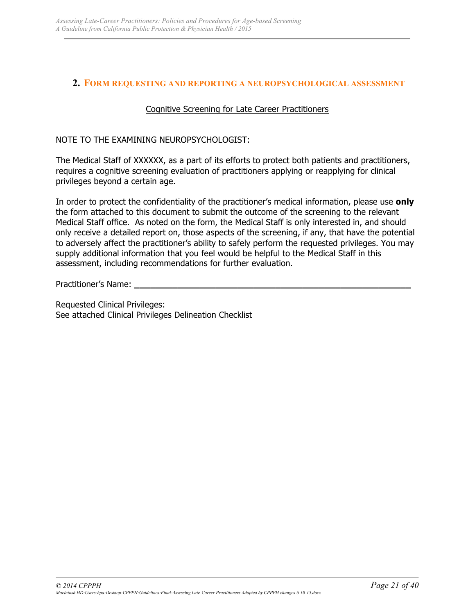### **2. FORM REQUESTING AND REPORTING A NEUROPSYCHOLOGICAL ASSESSMENT**

### Cognitive Screening for Late Career Practitioners

NOTE TO THE EXAMINING NEUROPSYCHOLOGIST:

The Medical Staff of XXXXXX, as a part of its efforts to protect both patients and practitioners, requires a cognitive screening evaluation of practitioners applying or reapplying for clinical privileges beyond a certain age.

In order to protect the confidentiality of the practitioner's medical information, please use **only** the form attached to this document to submit the outcome of the screening to the relevant Medical Staff office. As noted on the form, the Medical Staff is only interested in, and should only receive a detailed report on, those aspects of the screening, if any, that have the potential to adversely affect the practitioner's ability to safely perform the requested privileges. You may supply additional information that you feel would be helpful to the Medical Staff in this assessment, including recommendations for further evaluation.

Practitioner's Name: **\_\_\_\_\_\_\_\_\_\_\_\_\_\_\_\_\_\_\_\_\_\_\_\_\_\_\_\_\_\_\_\_\_\_\_\_\_\_\_\_\_\_\_\_\_\_\_\_\_\_\_**

Requested Clinical Privileges: See attached Clinical Privileges Delineation Checklist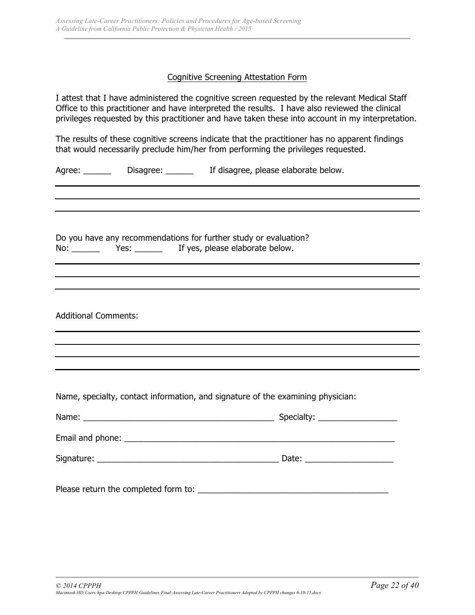#### Cognitive Screening Attestation Form

I attest that I have administered the cognitive screen requested by the relevant Medical Staff Office to this practitioner and have interpreted the results. I have also reviewed the clinical privileges requested by this practitioner and have taken these into account in my interpretation.

The results of these cognitive screens indicate that the practitioner has no apparent findings that would necessarily preclude him/her from performing the privileges requested.

Agree: \_\_\_\_\_\_\_ Disagree: \_\_\_\_\_\_ If disagree, please elaborate below.

Do you have any recommendations for further study or evaluation? No: \_\_\_\_\_\_\_ Yes: \_\_\_\_\_\_ If yes, please elaborate below.

Additional Comments:

Name, specialty, contact information, and signature of the examining physician:

Please return the completed form to: \_\_\_\_\_\_\_\_\_\_\_\_\_\_\_\_\_\_\_\_\_\_\_\_\_\_\_\_\_\_\_\_\_\_\_\_\_\_\_\_\_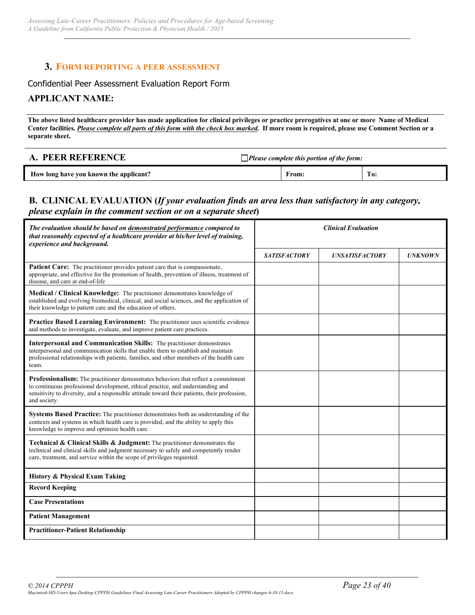### **3. FORM REPORTING A PEER ASSESSMENT**

#### Confidential Peer Assessment Evaluation Report Form

#### **APPLICANT NAME:**

**The above listed healthcare provider has made application for clinical privileges or practice prerogatives at one or more Name of Medical Center facilities.** *Please complete all parts of this form with the check box marked.* **If more room is required, please use Comment Section or a separate sheet.**

| A. PEER REFERENCE                      | $\Box$ Please complete this portion of the form: |     |
|----------------------------------------|--------------------------------------------------|-----|
| How long have you known the applicant? | From:                                            | To: |

### **B. CLINICAL EVALUATION (***If your evaluation finds an area less than satisfactory in any category, please explain in the comment section or on a separate sheet***)**

| The evaluation should be based on demonstrated performance compared to<br>that reasonably expected of a healthcare provider at his/her level of training,<br>experience and background.                                                                                                |                     | <b>Clinical Evaluation</b> |                |
|----------------------------------------------------------------------------------------------------------------------------------------------------------------------------------------------------------------------------------------------------------------------------------------|---------------------|----------------------------|----------------|
|                                                                                                                                                                                                                                                                                        | <b>SATISFACTORY</b> | <b>UNSATISFACTORY</b>      | <b>UNKNOWN</b> |
| Patient Care: The practitioner provides patient care that is compassionate,<br>appropriate, and effective for the promotion of health, prevention of illness, treatment of<br>disease, and care at end-of-life                                                                         |                     |                            |                |
| <b>Medical / Clinical Knowledge:</b> The practitioner demonstrates knowledge of<br>established and evolving biomedical, clinical, and social sciences, and the application of<br>their knowledge to patient care and the education of others.                                          |                     |                            |                |
| Practice Based Learning Environment: The practitioner uses scientific evidence<br>and methods to investigate, evaluate, and improve patient care practices.                                                                                                                            |                     |                            |                |
| <b>Interpersonal and Communication Skills:</b> The practitioner demonstrates<br>interpersonal and communication skills that enable them to establish and maintain<br>professional relationships with patients, families, and other members of the health care<br>team.                 |                     |                            |                |
| Professionalism: The practitioner demonstrates behaviors that reflect a commitment<br>to continuous professional development, ethical practice, and understanding and<br>sensitivity to diversity, and a responsible attitude toward their patients, their profession,<br>and society. |                     |                            |                |
| Systems Based Practice: The practitioner demonstrates both an understanding of the<br>contexts and systems in which health care is provided, and the ability to apply this<br>knowledge to improve and optimize health care.                                                           |                     |                            |                |
| Technical & Clinical Skills & Judgment: The practitioner demonstrates the<br>technical and clinical skills and judgment necessary to safely and competently render<br>care, treatment, and service within the scope of privileges requested.                                           |                     |                            |                |
| <b>History &amp; Physical Exam Taking</b>                                                                                                                                                                                                                                              |                     |                            |                |
| <b>Record Keeping</b>                                                                                                                                                                                                                                                                  |                     |                            |                |
| <b>Case Presentations</b>                                                                                                                                                                                                                                                              |                     |                            |                |
| <b>Patient Management</b>                                                                                                                                                                                                                                                              |                     |                            |                |
| <b>Practitioner-Patient Relationship</b>                                                                                                                                                                                                                                               |                     |                            |                |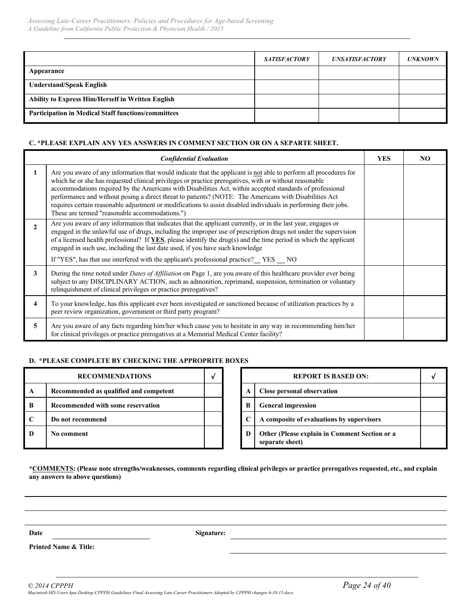|                                                            | <b>SATISFACTORY</b> | <b>UNSATISFACTORY</b> | <b>UNKNOWN</b> |
|------------------------------------------------------------|---------------------|-----------------------|----------------|
| Appearance                                                 |                     |                       |                |
| <b>Understand/Speak English</b>                            |                     |                       |                |
| <b>Ability to Express Him/Herself in Written English</b>   |                     |                       |                |
| <b>Participation in Medical Staff functions/committees</b> |                     |                       |                |

#### **C. \*PLEASE EXPLAIN ANY YES ANSWERS IN COMMENT SECTION OR ON A SEPARTE SHEET.**

|                | <b>Confidential Evaluation</b>                                                                                                                                                                                                                                                                                                                                                                                                                                                                                                                                                                                           | <b>YES</b> | NO. |
|----------------|--------------------------------------------------------------------------------------------------------------------------------------------------------------------------------------------------------------------------------------------------------------------------------------------------------------------------------------------------------------------------------------------------------------------------------------------------------------------------------------------------------------------------------------------------------------------------------------------------------------------------|------------|-----|
|                | Are you aware of any information that would indicate that the applicant is not able to perform all procedures for<br>which he or she has requested clinical privileges or practice prerogatives, with or without reasonable<br>accommodations required by the Americans with Disabilities Act, within accepted standards of professional<br>performance and without posing a direct threat to patients? (NOTE: The Americans with Disabilities Act<br>requires certain reasonable adjustment or modifications to assist disabled individuals in performing their jobs.<br>These are termed "reasonable accommodations.") |            |     |
| $\mathfrak{D}$ | Are you aware of any information that indicates that the applicant currently, or in the last year, engages or<br>engaged in the unlawful use of drugs, including the improper use of prescription drugs not under the supervision<br>of a licensed health professional? If YES, please identify the drug(s) and the time period in which the applicant<br>engaged in such use, including the last date used, if you have such knowledge<br>If "YES", has that use interfered with the applicant's professional practice? YES NO                                                                                          |            |     |
| 3              | During the time noted under <i>Dates of Affiliation</i> on Page 1, are you aware of this healthcare provider ever being<br>subject to any DISCIPLINARY ACTION, such as admonition, reprimand, suspension, termination or voluntary<br>relinquishment of clinical privileges or practice prerogatives?                                                                                                                                                                                                                                                                                                                    |            |     |
| 4              | To your knowledge, has this applicant ever been investigated or sanctioned because of utilization practices by a<br>peer review organization, government or third party program?                                                                                                                                                                                                                                                                                                                                                                                                                                         |            |     |
| 5              | Are you aware of any facts regarding him/her which cause you to hesitate in any way in recommending him/her<br>for clinical privileges or practice prerogatives at a Memorial Medical Center facility?                                                                                                                                                                                                                                                                                                                                                                                                                   |            |     |

#### **D. \*PLEASE COMPLETE BY CHECKING THE APPROPRITE BOXES**

|   | <b>RECOMMENDATIONS</b>                 |  |   | <b>REPORT IS BASED ON:</b>                                       |
|---|----------------------------------------|--|---|------------------------------------------------------------------|
| A | Recommended as qualified and competent |  |   | Close personal observation                                       |
| B | Recommended with some reservation      |  | B | <b>General impression</b>                                        |
|   | Do not recommend                       |  |   | A composite of evaluations by supervisors                        |
| D | No comment                             |  | Ð | Other (Please explain in Comment Section or a<br>separate sheet) |

| <b>RECOMMENDATIONS</b>           |  |   | <b>REPORT IS BASED ON:</b>                                       |  |
|----------------------------------|--|---|------------------------------------------------------------------|--|
| ended as qualified and competent |  |   | Close personal observation                                       |  |
| ended with some reservation      |  | B | <b>General impression</b>                                        |  |
| commend                          |  |   | A composite of evaluations by supervisors                        |  |
| ıent                             |  | D | Other (Please explain in Comment Section or a<br>separate sheet) |  |

**\*COMMENTS: (Please note strengths/weaknesses, comments regarding clinical privileges or practice prerogatives requested, etc., and explain any answers to above questions)**

**Date Signature:**

**Printed Name & Title:**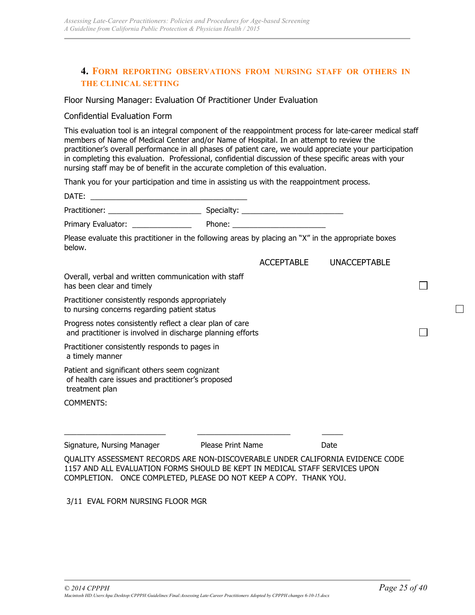### **4. FORM REPORTING OBSERVATIONS FROM NURSING STAFF OR OTHERS IN THE CLINICAL SETTING**

#### Floor Nursing Manager: Evaluation Of Practitioner Under Evaluation

#### Confidential Evaluation Form

This evaluation tool is an integral component of the reappointment process for late-career medical staff members of Name of Medical Center and/or Name of Hospital. In an attempt to review the practitioner's overall performance in all phases of patient care, we would appreciate your participation in completing this evaluation. Professional, confidential discussion of these specific areas with your nursing staff may be of benefit in the accurate completion of this evaluation.

Thank you for your participation and time in assisting us with the reappointment process.

| DATE:<br><u> La componenta del control de la componenta del componente del componente del componente del componente del c</u>                                                                                                      |                          |                   |                     |  |
|------------------------------------------------------------------------------------------------------------------------------------------------------------------------------------------------------------------------------------|--------------------------|-------------------|---------------------|--|
|                                                                                                                                                                                                                                    |                          |                   |                     |  |
| Primary Evaluator: _______________                                                                                                                                                                                                 |                          |                   |                     |  |
| Please evaluate this practitioner in the following areas by placing an "X" in the appropriate boxes<br>below.                                                                                                                      |                          |                   |                     |  |
|                                                                                                                                                                                                                                    |                          | <b>ACCEPTABLE</b> | <b>UNACCEPTABLE</b> |  |
| Overall, verbal and written communication with staff<br>has been clear and timely                                                                                                                                                  |                          |                   |                     |  |
| Practitioner consistently responds appropriately<br>to nursing concerns regarding patient status                                                                                                                                   |                          |                   |                     |  |
| Progress notes consistently reflect a clear plan of care<br>and practitioner is involved in discharge planning efforts                                                                                                             |                          |                   |                     |  |
| Practitioner consistently responds to pages in<br>a timely manner                                                                                                                                                                  |                          |                   |                     |  |
| Patient and significant others seem cognizant<br>of health care issues and practitioner's proposed<br>treatment plan                                                                                                               |                          |                   |                     |  |
| <b>COMMENTS:</b>                                                                                                                                                                                                                   |                          |                   |                     |  |
|                                                                                                                                                                                                                                    |                          |                   |                     |  |
| Signature, Nursing Manager                                                                                                                                                                                                         | <b>Please Print Name</b> |                   | Date                |  |
| QUALITY ASSESSMENT RECORDS ARE NON-DISCOVERABLE UNDER CALIFORNIA EVIDENCE CODE<br>1157 AND ALL EVALUATION FORMS SHOULD BE KEPT IN MEDICAL STAFF SERVICES UPON<br>COMPLETION. ONCE COMPLETED, PLEASE DO NOT KEEP A COPY. THANK YOU. |                          |                   |                     |  |

3/11 EVAL FORM NURSING FLOOR MGR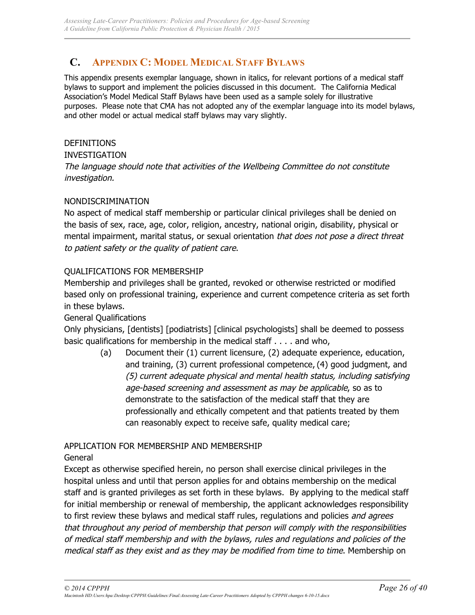## **C. APPENDIX C: MODEL MEDICAL STAFF BYLAWS**

This appendix presents exemplar language, shown in italics, for relevant portions of a medical staff bylaws to support and implement the policies discussed in this document. The California Medical Association's Model Medical Staff Bylaws have been used as a sample solely for illustrative purposes. Please note that CMA has not adopted any of the exemplar language into its model bylaws, and other model or actual medical staff bylaws may vary slightly.

### DEFINITIONS

### INVESTIGATION

The language should note that activities of the Wellbeing Committee do not constitute investigation.

### NONDISCRIMINATION

No aspect of medical staff membership or particular clinical privileges shall be denied on the basis of sex, race, age, color, religion, ancestry, national origin, disability, physical or mental impairment, marital status, or sexual orientation that does not pose a direct threat to patient safety or the quality of patient care.

### QUALIFICATIONS FOR MEMBERSHIP

Membership and privileges shall be granted, revoked or otherwise restricted or modified based only on professional training, experience and current competence criteria as set forth in these bylaws.

### General Qualifications

Only physicians, [dentists] [podiatrists] [clinical psychologists] shall be deemed to possess basic qualifications for membership in the medical staff . . . . and who,

> (a) Document their (1) current licensure, (2) adequate experience, education, and training, (3) current professional competence, (4) good judgment, and (5) current adequate physical and mental health status, including satisfying age-based screening and assessment as may be applicable, so as to demonstrate to the satisfaction of the medical staff that they are professionally and ethically competent and that patients treated by them can reasonably expect to receive safe, quality medical care;

### APPLICATION FOR MEMBERSHIP AND MEMBERSHIP

General

Except as otherwise specified herein, no person shall exercise clinical privileges in the hospital unless and until that person applies for and obtains membership on the medical staff and is granted privileges as set forth in these bylaws. By applying to the medical staff for initial membership or renewal of membership, the applicant acknowledges responsibility to first review these bylaws and medical staff rules, regulations and policies *and agrees* that throughout any period of membership that person will comply with the responsibilities of medical staff membership and with the bylaws, rules and regulations and policies of the medical staff as they exist and as they may be modified from time to time. Membership on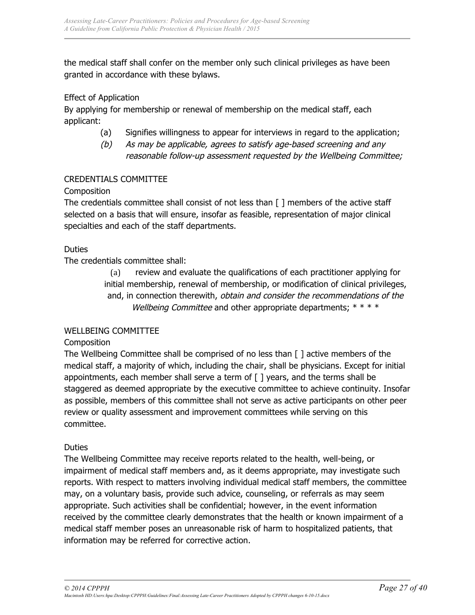the medical staff shall confer on the member only such clinical privileges as have been granted in accordance with these bylaws.

### Effect of Application

By applying for membership or renewal of membership on the medical staff, each applicant:

- (a) Signifies willingness to appear for interviews in regard to the application;
- (b) As may be applicable, agrees to satisfy age-based screening and any
	- reasonable follow-up assessment requested by the Wellbeing Committee;

### CREDENTIALS COMMITTEE

### **Composition**

The credentials committee shall consist of not less than [ ] members of the active staff selected on a basis that will ensure, insofar as feasible, representation of major clinical specialties and each of the staff departments.

### Duties

The credentials committee shall:

(a) review and evaluate the qualifications of each practitioner applying for initial membership, renewal of membership, or modification of clinical privileges, and, in connection therewith, obtain and consider the recommendations of the Wellbeing Committee and other appropriate departments;  $****$ 

### WELLBEING COMMITTEE

### **Composition**

The Wellbeing Committee shall be comprised of no less than [ ] active members of the medical staff, a majority of which, including the chair, shall be physicians. Except for initial appointments, each member shall serve a term of [ ] years, and the terms shall be staggered as deemed appropriate by the executive committee to achieve continuity. Insofar as possible, members of this committee shall not serve as active participants on other peer review or quality assessment and improvement committees while serving on this committee.

### Duties

The Wellbeing Committee may receive reports related to the health, well-being, or impairment of medical staff members and, as it deems appropriate, may investigate such reports. With respect to matters involving individual medical staff members, the committee may, on a voluntary basis, provide such advice, counseling, or referrals as may seem appropriate. Such activities shall be confidential; however, in the event information received by the committee clearly demonstrates that the health or known impairment of a medical staff member poses an unreasonable risk of harm to hospitalized patients, that information may be referred for corrective action.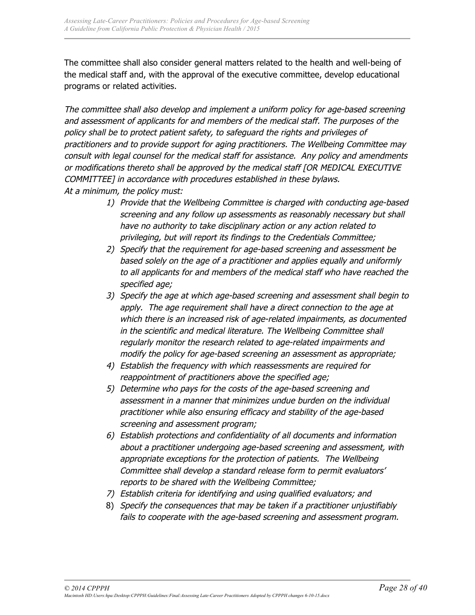The committee shall also consider general matters related to the health and well-being of the medical staff and, with the approval of the executive committee, develop educational programs or related activities.

The committee shall also develop and implement a uniform policy for age-based screening and assessment of applicants for and members of the medical staff. The purposes of the policy shall be to protect patient safety, to safeguard the rights and privileges of practitioners and to provide support for aging practitioners. The Wellbeing Committee may consult with legal counsel for the medical staff for assistance. Any policy and amendments or modifications thereto shall be approved by the medical staff [OR MEDICAL EXECUTIVE COMMITTEE] in accordance with procedures established in these bylaws. At a minimum, the policy must:

- 1) Provide that the Wellbeing Committee is charged with conducting age-based screening and any follow up assessments as reasonably necessary but shall have no authority to take disciplinary action or any action related to privileging, but will report its findings to the Credentials Committee;
- 2) Specify that the requirement for age-based screening and assessment be based solely on the age of a practitioner and applies equally and uniformly to all applicants for and members of the medical staff who have reached the specified age;
- 3) Specify the age at which age-based screening and assessment shall begin to apply. The age requirement shall have a direct connection to the age at which there is an increased risk of age-related impairments, as documented in the scientific and medical literature. The Wellbeing Committee shall regularly monitor the research related to age-related impairments and modify the policy for age-based screening an assessment as appropriate;
- 4) Establish the frequency with which reassessments are required for reappointment of practitioners above the specified age;
- 5) Determine who pays for the costs of the age-based screening and assessment in a manner that minimizes undue burden on the individual practitioner while also ensuring efficacy and stability of the age-based screening and assessment program;
- 6) Establish protections and confidentiality of all documents and information about a practitioner undergoing age-based screening and assessment, with appropriate exceptions for the protection of patients. The Wellbeing Committee shall develop a standard release form to permit evaluators' reports to be shared with the Wellbeing Committee;
- 7) Establish criteria for identifying and using qualified evaluators; and
- 8) Specify the consequences that may be taken if a practitioner unjustifiably fails to cooperate with the age-based screening and assessment program.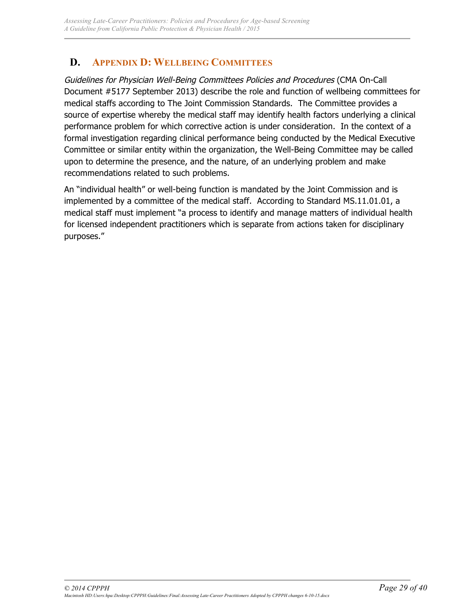## **D. APPENDIX D: WELLBEING COMMITTEES**

Guidelines for Physician Well-Being Committees Policies and Procedures (CMA On-Call Document #5177 September 2013) describe the role and function of wellbeing committees for medical staffs according to The Joint Commission Standards. The Committee provides a source of expertise whereby the medical staff may identify health factors underlying a clinical performance problem for which corrective action is under consideration. In the context of a formal investigation regarding clinical performance being conducted by the Medical Executive Committee or similar entity within the organization, the Well-Being Committee may be called upon to determine the presence, and the nature, of an underlying problem and make recommendations related to such problems.

An "individual health" or well-being function is mandated by the Joint Commission and is implemented by a committee of the medical staff. According to Standard MS.11.01.01, a medical staff must implement "a process to identify and manage matters of individual health for licensed independent practitioners which is separate from actions taken for disciplinary purposes."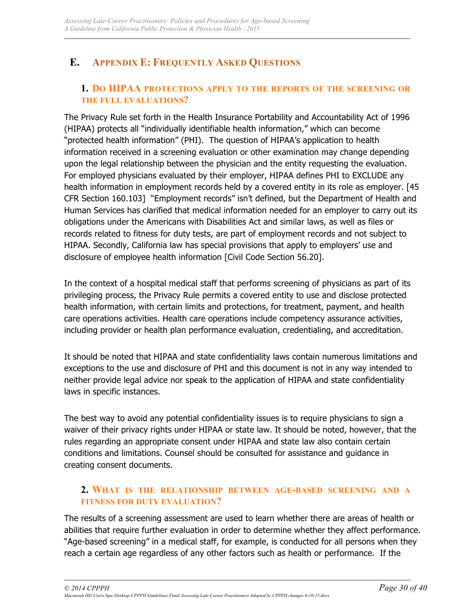## **E. APPENDIX E: FREQUENTLY ASKED QUESTIONS**

## **1. DO HIPAA PROTECTIONS APPLY TO THE REPORTS OF THE SCREENING OR THE FULL EVALUATIONS?**

The Privacy Rule set forth in the Health Insurance Portability and Accountability Act of 1996 (HIPAA) protects all "individually identifiable health information," which can become "protected health information" (PHI). The question of HIPAA's application to health information received in a screening evaluation or other examination may change depending upon the legal relationship between the physician and the entity requesting the evaluation. For employed physicians evaluated by their employer, HIPAA defines PHI to EXCLUDE any health information in employment records held by a covered entity in its role as employer. [45] CFR Section 160.103] "Employment records" isn't defined, but the Department of Health and Human Services has clarified that medical information needed for an employer to carry out its obligations under the Americans with Disabilities Act and similar laws, as well as files or records related to fitness for duty tests, are part of employment records and not subject to HIPAA. Secondly, California law has special provisions that apply to employers' use and disclosure of employee health information [Civil Code Section 56.20].

In the context of a hospital medical staff that performs screening of physicians as part of its privileging process, the Privacy Rule permits a covered entity to use and disclose protected health information, with certain limits and protections, for treatment, payment, and health care operations activities. Health care operations include competency assurance activities, including provider or health plan performance evaluation, credentialing, and accreditation.

It should be noted that HIPAA and state confidentiality laws contain numerous limitations and exceptions to the use and disclosure of PHI and this document is not in any way intended to neither provide legal advice nor speak to the application of HIPAA and state confidentiality laws in specific instances.

The best way to avoid any potential confidentiality issues is to require physicians to sign a waiver of their privacy rights under HIPAA or state law. It should be noted, however, that the rules regarding an appropriate consent under HIPAA and state law also contain certain conditions and limitations. Counsel should be consulted for assistance and guidance in creating consent documents.

### **2. WHAT IS THE RELATIONSHIP BETWEEN AGE-BASED SCREENING AND A FITNESS FOR DUTY EVALUATION?**

The results of a screening assessment are used to learn whether there are areas of health or abilities that require further evaluation in order to determine whether they affect performance. "Age-based screening" in a medical staff, for example, is conducted for all persons when they reach a certain age regardless of any other factors such as health or performance. If the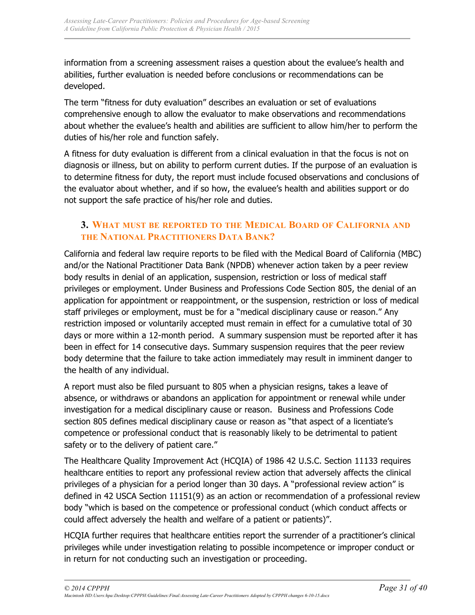information from a screening assessment raises a question about the evaluee's health and abilities, further evaluation is needed before conclusions or recommendations can be developed.

The term "fitness for duty evaluation" describes an evaluation or set of evaluations comprehensive enough to allow the evaluator to make observations and recommendations about whether the evaluee's health and abilities are sufficient to allow him/her to perform the duties of his/her role and function safely.

A fitness for duty evaluation is different from a clinical evaluation in that the focus is not on diagnosis or illness, but on ability to perform current duties. If the purpose of an evaluation is to determine fitness for duty, the report must include focused observations and conclusions of the evaluator about whether, and if so how, the evaluee's health and abilities support or do not support the safe practice of his/her role and duties.

## **3. WHAT MUST BE REPORTED TO THE MEDICAL BOARD OF CALIFORNIA AND THE NATIONAL PRACTITIONERS DATA BANK?**

California and federal law require reports to be filed with the Medical Board of California (MBC) and/or the National Practitioner Data Bank (NPDB) whenever action taken by a peer review body results in denial of an application, suspension, restriction or loss of medical staff privileges or employment. Under Business and Professions Code Section 805, the denial of an application for appointment or reappointment, or the suspension, restriction or loss of medical staff privileges or employment, must be for a "medical disciplinary cause or reason." Any restriction imposed or voluntarily accepted must remain in effect for a cumulative total of 30 days or more within a 12-month period. A summary suspension must be reported after it has been in effect for 14 consecutive days. Summary suspension requires that the peer review body determine that the failure to take action immediately may result in imminent danger to the health of any individual.

A report must also be filed pursuant to 805 when a physician resigns, takes a leave of absence, or withdraws or abandons an application for appointment or renewal while under investigation for a medical disciplinary cause or reason. Business and Professions Code section 805 defines medical disciplinary cause or reason as "that aspect of a licentiate's competence or professional conduct that is reasonably likely to be detrimental to patient safety or to the delivery of patient care."

The Healthcare Quality Improvement Act (HCQIA) of 1986 42 U.S.C. Section 11133 requires healthcare entities to report any professional review action that adversely affects the clinical privileges of a physician for a period longer than 30 days. A "professional review action" is defined in 42 USCA Section 11151(9) as an action or recommendation of a professional review body "which is based on the competence or professional conduct (which conduct affects or could affect adversely the health and welfare of a patient or patients)".

HCQIA further requires that healthcare entities report the surrender of a practitioner's clinical privileges while under investigation relating to possible incompetence or improper conduct or in return for not conducting such an investigation or proceeding.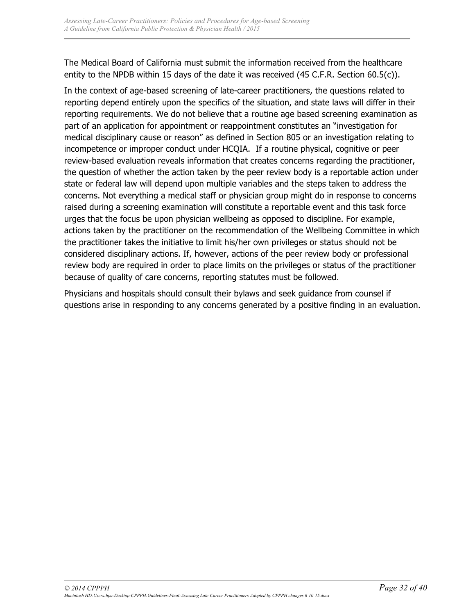The Medical Board of California must submit the information received from the healthcare entity to the NPDB within 15 days of the date it was received (45 C.F.R. Section 60.5(c)).

In the context of age-based screening of late-career practitioners, the questions related to reporting depend entirely upon the specifics of the situation, and state laws will differ in their reporting requirements. We do not believe that a routine age based screening examination as part of an application for appointment or reappointment constitutes an "investigation for medical disciplinary cause or reason" as defined in Section 805 or an investigation relating to incompetence or improper conduct under HCQIA. If a routine physical, cognitive or peer review-based evaluation reveals information that creates concerns regarding the practitioner, the question of whether the action taken by the peer review body is a reportable action under state or federal law will depend upon multiple variables and the steps taken to address the concerns. Not everything a medical staff or physician group might do in response to concerns raised during a screening examination will constitute a reportable event and this task force urges that the focus be upon physician wellbeing as opposed to discipline. For example, actions taken by the practitioner on the recommendation of the Wellbeing Committee in which the practitioner takes the initiative to limit his/her own privileges or status should not be considered disciplinary actions. If, however, actions of the peer review body or professional review body are required in order to place limits on the privileges or status of the practitioner because of quality of care concerns, reporting statutes must be followed.

Physicians and hospitals should consult their bylaws and seek guidance from counsel if questions arise in responding to any concerns generated by a positive finding in an evaluation.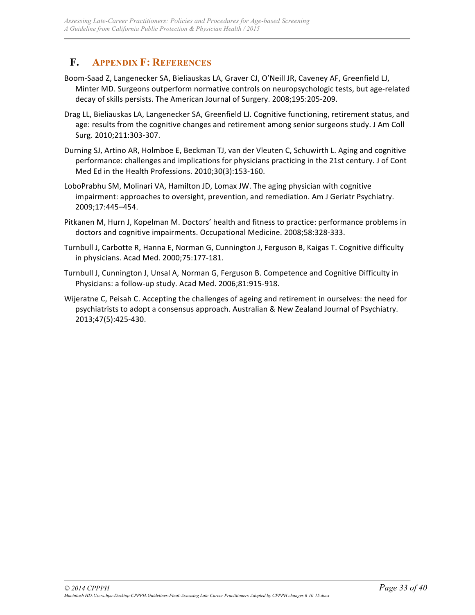## **F. APPENDIX F: REFERENCES**

- Boom-Saad Z, Langenecker SA, Bieliauskas LA, Graver CJ, O'Neill JR, Caveney AF, Greenfield LJ, Minter MD. Surgeons outperform normative controls on neuropsychologic tests, but age-related decay of skills persists. The American Journal of Surgery. 2008;195:205-209.
- Drag LL, Bieliauskas LA, Langenecker SA, Greenfield LJ. Cognitive functioning, retirement status, and age: results from the cognitive changes and retirement among senior surgeons study. J Am Coll Surg. 2010;211:303-307.
- Durning SJ, Artino AR, Holmboe E, Beckman TJ, van der Vleuten C, Schuwirth L. Aging and cognitive performance: challenges and implications for physicians practicing in the 21st century. J of Cont Med Ed in the Health Professions. 2010;30(3):153-160.
- LoboPrabhu SM, Molinari VA, Hamilton JD, Lomax JW. The aging physician with cognitive impairment: approaches to oversight, prevention, and remediation. Am J Geriatr Psychiatry. 2009;17:445–454.
- Pitkanen M, Hurn J, Kopelman M. Doctors' health and fitness to practice: performance problems in doctors and cognitive impairments. Occupational Medicine. 2008;58:328-333.
- Turnbull J, Carbotte R, Hanna E, Norman G, Cunnington J, Ferguson B, Kaigas T. Cognitive difficulty in physicians. Acad Med. 2000;75:177-181.
- Turnbull J, Cunnington J, Unsal A, Norman G, Ferguson B. Competence and Cognitive Difficulty in Physicians: a follow-up study. Acad Med. 2006;81:915-918.
- Wijeratne C, Peisah C. Accepting the challenges of ageing and retirement in ourselves: the need for psychiatrists to adopt a consensus approach. Australian & New Zealand Journal of Psychiatry. 2013;47(5):425-430.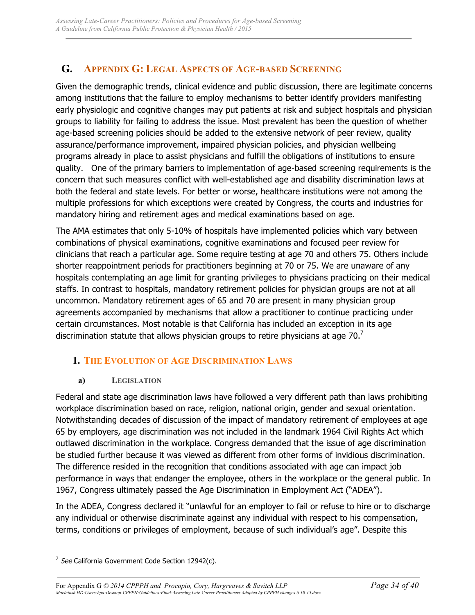## **G. APPENDIX G: LEGAL ASPECTS OF AGE-BASED SCREENING**

Given the demographic trends, clinical evidence and public discussion, there are legitimate concerns among institutions that the failure to employ mechanisms to better identify providers manifesting early physiologic and cognitive changes may put patients at risk and subject hospitals and physician groups to liability for failing to address the issue. Most prevalent has been the question of whether age-based screening policies should be added to the extensive network of peer review, quality assurance/performance improvement, impaired physician policies, and physician wellbeing programs already in place to assist physicians and fulfill the obligations of institutions to ensure quality. One of the primary barriers to implementation of age-based screening requirements is the concern that such measures conflict with well-established age and disability discrimination laws at both the federal and state levels. For better or worse, healthcare institutions were not among the multiple professions for which exceptions were created by Congress, the courts and industries for mandatory hiring and retirement ages and medical examinations based on age.

The AMA estimates that only 5-10% of hospitals have implemented policies which vary between combinations of physical examinations, cognitive examinations and focused peer review for clinicians that reach a particular age. Some require testing at age 70 and others 75. Others include shorter reappointment periods for practitioners beginning at 70 or 75. We are unaware of any hospitals contemplating an age limit for granting privileges to physicians practicing on their medical staffs. In contrast to hospitals, mandatory retirement policies for physician groups are not at all uncommon. Mandatory retirement ages of 65 and 70 are present in many physician group agreements accompanied by mechanisms that allow a practitioner to continue practicing under certain circumstances. Most notable is that California has included an exception in its age discrimination statute that allows physician groups to retire physicians at age  $70.<sup>7</sup>$ 

## **1. THE EVOLUTION OF AGE DISCRIMINATION LAWS**

### **a) LEGISLATION**

Federal and state age discrimination laws have followed a very different path than laws prohibiting workplace discrimination based on race, religion, national origin, gender and sexual orientation. Notwithstanding decades of discussion of the impact of mandatory retirement of employees at age 65 by employers, age discrimination was not included in the landmark 1964 Civil Rights Act which outlawed discrimination in the workplace. Congress demanded that the issue of age discrimination be studied further because it was viewed as different from other forms of invidious discrimination. The difference resided in the recognition that conditions associated with age can impact job performance in ways that endanger the employee, others in the workplace or the general public. In 1967, Congress ultimately passed the Age Discrimination in Employment Act ("ADEA").

In the ADEA, Congress declared it "unlawful for an employer to fail or refuse to hire or to discharge any individual or otherwise discriminate against any individual with respect to his compensation, terms, conditions or privileges of employment, because of such individual's age". Despite this

 $\overline{a}$ 

For Appendix G *© 2014 CPPPH and Procopio, Cory, Hargreaves & Savitch LLP Page 34 of 40 Macintosh HD:Users:hpa:Desktop:CPPPH:Guidelines:Final:Assessing Late-Career Practitioners Adopted by CPPPH changes 6-10-15.docx*

 $7$  See California Government Code Section 12942(c).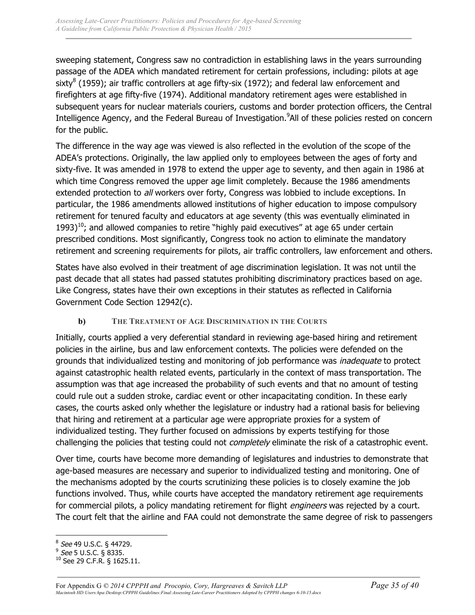sweeping statement, Congress saw no contradiction in establishing laws in the years surrounding passage of the ADEA which mandated retirement for certain professions, including: pilots at age sixty<sup>8</sup> (1959); air traffic controllers at age fifty-six (1972); and federal law enforcement and firefighters at age fifty-five (1974). Additional mandatory retirement ages were established in subsequent years for nuclear materials couriers, customs and border protection officers, the Central Intelligence Agency, and the Federal Bureau of Investigation.<sup>9</sup>All of these policies rested on concern for the public.

The difference in the way age was viewed is also reflected in the evolution of the scope of the ADEA's protections. Originally, the law applied only to employees between the ages of forty and sixty-five. It was amended in 1978 to extend the upper age to seventy, and then again in 1986 at which time Congress removed the upper age limit completely. Because the 1986 amendments extended protection to all workers over forty, Congress was lobbied to include exceptions. In particular, the 1986 amendments allowed institutions of higher education to impose compulsory retirement for tenured faculty and educators at age seventy (this was eventually eliminated in  $1993$ <sup>10</sup>; and allowed companies to retire "highly paid executives" at age 65 under certain prescribed conditions. Most significantly, Congress took no action to eliminate the mandatory retirement and screening requirements for pilots, air traffic controllers, law enforcement and others.

States have also evolved in their treatment of age discrimination legislation. It was not until the past decade that all states had passed statutes prohibiting discriminatory practices based on age. Like Congress, states have their own exceptions in their statutes as reflected in California Government Code Section 12942(c).

### **b) THE TREATMENT OF AGE DISCRIMINATION IN THE COURTS**

Initially, courts applied a very deferential standard in reviewing age-based hiring and retirement policies in the airline, bus and law enforcement contexts. The policies were defended on the grounds that individualized testing and monitoring of job performance was *inadequate* to protect against catastrophic health related events, particularly in the context of mass transportation. The assumption was that age increased the probability of such events and that no amount of testing could rule out a sudden stroke, cardiac event or other incapacitating condition. In these early cases, the courts asked only whether the legislature or industry had a rational basis for believing that hiring and retirement at a particular age were appropriate proxies for a system of individualized testing. They further focused on admissions by experts testifying for those challenging the policies that testing could not *completely* eliminate the risk of a catastrophic event.

Over time, courts have become more demanding of legislatures and industries to demonstrate that age-based measures are necessary and superior to individualized testing and monitoring. One of the mechanisms adopted by the courts scrutinizing these policies is to closely examine the job functions involved. Thus, while courts have accepted the mandatory retirement age requirements for commercial pilots, a policy mandating retirement for flight *engineers* was rejected by a court. The court felt that the airline and FAA could not demonstrate the same degree of risk to passengers

 $\overline{a}$ <sup>8</sup> See 49 U.S.C. § 44729.

<sup>&</sup>lt;sup>9</sup> See 5 U.S.C. § 8335.

<sup>10</sup> See 29 C.F.R. § 1625.11.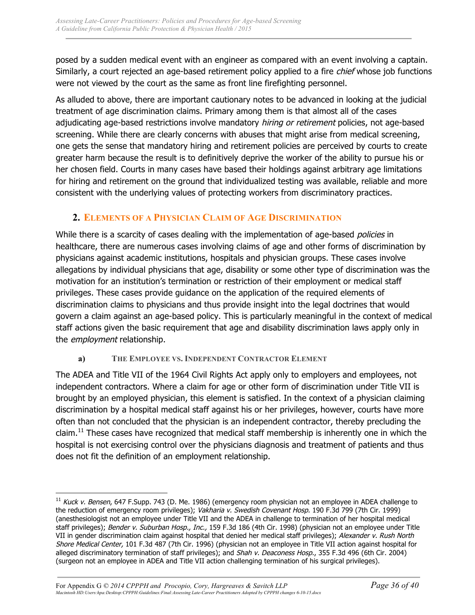posed by a sudden medical event with an engineer as compared with an event involving a captain. Similarly, a court rejected an age-based retirement policy applied to a fire *chief* whose job functions were not viewed by the court as the same as front line firefighting personnel.

As alluded to above, there are important cautionary notes to be advanced in looking at the judicial treatment of age discrimination claims. Primary among them is that almost all of the cases adjudicating age-based restrictions involve mandatory *hiring or retirement* policies, not age-based screening. While there are clearly concerns with abuses that might arise from medical screening, one gets the sense that mandatory hiring and retirement policies are perceived by courts to create greater harm because the result is to definitively deprive the worker of the ability to pursue his or her chosen field. Courts in many cases have based their holdings against arbitrary age limitations for hiring and retirement on the ground that individualized testing was available, reliable and more consistent with the underlying values of protecting workers from discriminatory practices.

## **2. ELEMENTS OF A PHYSICIAN CLAIM OF AGE DISCRIMINATION**

While there is a scarcity of cases dealing with the implementation of age-based *policies* in healthcare, there are numerous cases involving claims of age and other forms of discrimination by physicians against academic institutions, hospitals and physician groups. These cases involve allegations by individual physicians that age, disability or some other type of discrimination was the motivation for an institution's termination or restriction of their employment or medical staff privileges. These cases provide guidance on the application of the required elements of discrimination claims to physicians and thus provide insight into the legal doctrines that would govern a claim against an age-based policy. This is particularly meaningful in the context of medical staff actions given the basic requirement that age and disability discrimination laws apply only in the employment relationship.

## **a) THE EMPLOYEE VS. INDEPENDENT CONTRACTOR ELEMENT**

The ADEA and Title VII of the 1964 Civil Rights Act apply only to employers and employees, not independent contractors. Where a claim for age or other form of discrimination under Title VII is brought by an employed physician, this element is satisfied. In the context of a physician claiming discrimination by a hospital medical staff against his or her privileges, however, courts have more often than not concluded that the physician is an independent contractor, thereby precluding the claim.<sup>11</sup> These cases have recognized that medical staff membership is inherently one in which the hospital is not exercising control over the physicians diagnosis and treatment of patients and thus does not fit the definition of an employment relationship.

 $\overline{a}$ 

 $11$  Kuck v. Bensen, 647 F. Supp. 743 (D. Me. 1986) (emergency room physician not an employee in ADEA challenge to the reduction of emergency room privileges); Vakharia v. Swedish Covenant Hosp. 190 F.3d 799 (7th Cir. 1999) (anesthesiologist not an employee under Title VII and the ADEA in challenge to termination of her hospital medical staff privileges); Bender v. Suburban Hosp., Inc., 159 F.3d 186 (4th Cir. 1998) (physician not an employee under Title VII in gender discrimination claim against hospital that denied her medical staff privileges); Alexander v. Rush North Shore Medical Center, 101 F.3d 487 (7th Cir. 1996) (physician not an employee in Title VII action against hospital for alleged discriminatory termination of staff privileges); and Shah v. Deaconess Hosp., 355 F.3d 496 (6th Cir. 2004) (surgeon not an employee in ADEA and Title VII action challenging termination of his surgical privileges).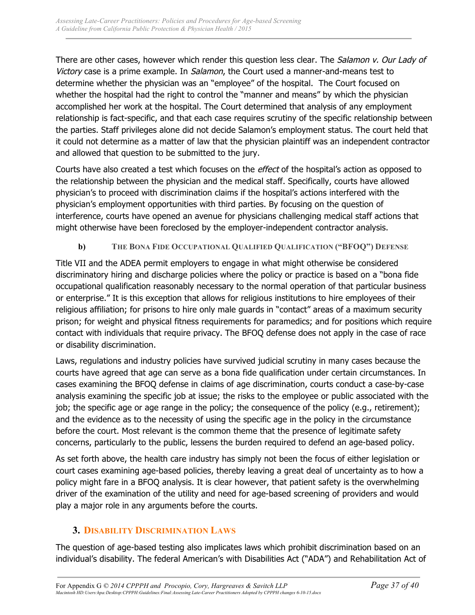There are other cases, however which render this question less clear. The Salamon v. Our Lady of Victory case is a prime example. In Salamon, the Court used a manner-and-means test to determine whether the physician was an "employee" of the hospital. The Court focused on whether the hospital had the right to control the "manner and means" by which the physician accomplished her work at the hospital. The Court determined that analysis of any employment relationship is fact-specific, and that each case requires scrutiny of the specific relationship between the parties. Staff privileges alone did not decide Salamon's employment status. The court held that it could not determine as a matter of law that the physician plaintiff was an independent contractor and allowed that question to be submitted to the jury.

Courts have also created a test which focuses on the *effect* of the hospital's action as opposed to the relationship between the physician and the medical staff. Specifically, courts have allowed physician's to proceed with discrimination claims if the hospital's actions interfered with the physician's employment opportunities with third parties. By focusing on the question of interference, courts have opened an avenue for physicians challenging medical staff actions that might otherwise have been foreclosed by the employer-independent contractor analysis.

### **b) THE BONA FIDE OCCUPATIONAL QUALIFIED QUALIFICATION ("BFOQ") DEFENSE**

Title VII and the ADEA permit employers to engage in what might otherwise be considered discriminatory hiring and discharge policies where the policy or practice is based on a "bona fide occupational qualification reasonably necessary to the normal operation of that particular business or enterprise." It is this exception that allows for religious institutions to hire employees of their religious affiliation; for prisons to hire only male guards in "contact" areas of a maximum security prison; for weight and physical fitness requirements for paramedics; and for positions which require contact with individuals that require privacy. The BFOQ defense does not apply in the case of race or disability discrimination.

Laws, regulations and industry policies have survived judicial scrutiny in many cases because the courts have agreed that age can serve as a bona fide qualification under certain circumstances. In cases examining the BFOQ defense in claims of age discrimination, courts conduct a case-by-case analysis examining the specific job at issue; the risks to the employee or public associated with the job; the specific age or age range in the policy; the consequence of the policy (e.g., retirement); and the evidence as to the necessity of using the specific age in the policy in the circumstance before the court. Most relevant is the common theme that the presence of legitimate safety concerns, particularly to the public, lessens the burden required to defend an age-based policy.

As set forth above, the health care industry has simply not been the focus of either legislation or court cases examining age-based policies, thereby leaving a great deal of uncertainty as to how a policy might fare in a BFOQ analysis. It is clear however, that patient safety is the overwhelming driver of the examination of the utility and need for age-based screening of providers and would play a major role in any arguments before the courts.

## **3. DISABILITY DISCRIMINATION LAWS**

The question of age-based testing also implicates laws which prohibit discrimination based on an individual's disability. The federal American's with Disabilities Act ("ADA") and Rehabilitation Act of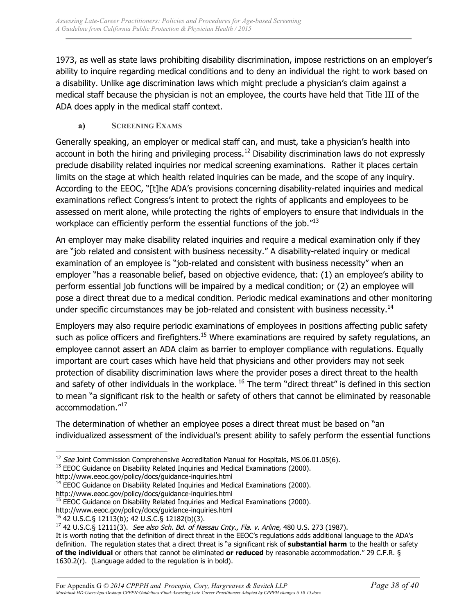1973, as well as state laws prohibiting disability discrimination, impose restrictions on an employer's ability to inquire regarding medical conditions and to deny an individual the right to work based on a disability. Unlike age discrimination laws which might preclude a physician's claim against a medical staff because the physician is not an employee, the courts have held that Title III of the ADA does apply in the medical staff context.

### **a) SCREENING EXAMS**

Generally speaking, an employer or medical staff can, and must, take a physician's health into account in both the hiring and privileging process.<sup>12</sup> Disability discrimination laws do not expressly preclude disability related inquiries nor medical screening examinations. Rather it places certain limits on the stage at which health related inquiries can be made, and the scope of any inquiry. According to the EEOC, "[t]he ADA's provisions concerning disability-related inquiries and medical examinations reflect Congress's intent to protect the rights of applicants and employees to be assessed on merit alone, while protecting the rights of employers to ensure that individuals in the workplace can efficiently perform the essential functions of the job.<sup>"13</sup>

An employer may make disability related inquiries and require a medical examination only if they are "job related and consistent with business necessity." A disability-related inquiry or medical examination of an employee is "job-related and consistent with business necessity" when an employer "has a reasonable belief, based on objective evidence, that: (1) an employee's ability to perform essential job functions will be impaired by a medical condition; or (2) an employee will pose a direct threat due to a medical condition. Periodic medical examinations and other monitoring under specific circumstances may be job-related and consistent with business necessity.<sup>14</sup>

Employers may also require periodic examinations of employees in positions affecting public safety such as police officers and firefighters.<sup>15</sup> Where examinations are required by safety regulations, an employee cannot assert an ADA claim as barrier to employer compliance with regulations. Equally important are court cases which have held that physicians and other providers may not seek protection of disability discrimination laws where the provider poses a direct threat to the health and safety of other individuals in the workplace. <sup>16</sup> The term "direct threat" is defined in this section to mean "a significant risk to the health or safety of others that cannot be eliminated by reasonable accommodation."<sup>17</sup>

The determination of whether an employee poses a direct threat must be based on "an individualized assessment of the individual's present ability to safely perform the essential functions

http://www.eeoc.gov/policy/docs/guidance-inquiries.html<br><sup>14</sup> EEOC Guidance on Disability Related Inquiries and Medical Examinations (2000).

http://www.eeoc.gov/policy/docs/guidance-inquiries.html

<sup>15</sup> EEOC Guidance on Disability Related Inquiries and Medical Examinations (2000).

http://www.eeoc.gov/policy/docs/guidance-inquiries.html

 $\overline{a}$  $12$  See Joint Commission Comprehensive Accreditation Manual for Hospitals, MS.06.01.05(6).

 $13$  EEOC Guidance on Disability Related Inquiries and Medical Examinations (2000).

<sup>&</sup>lt;sup>16</sup> 42 U.S.C.§ 12113(b); 42 U.S.C.§ 12182(b)(3).<br><sup>17</sup> 42 U.S.C.§ 12111(3). *See also Sch. Bd. of Nassau Cnty., Fla. v. Arline*, 480 U.S. 273 (1987).

It is worth noting that the definition of direct threat in the EEOC's regulations adds additional language to the ADA's definition. The regulation states that a direct threat is "a significant risk of **substantial harm** to the health or safety **of the individual** or others that cannot be eliminated **or reduced** by reasonable accommodation." 29 C.F.R. § 1630.2(r). (Language added to the regulation is in bold).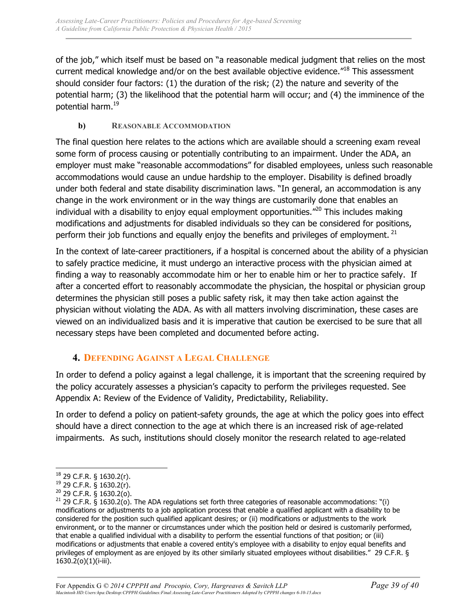of the job," which itself must be based on "a reasonable medical judgment that relies on the most current medical knowledge and/or on the best available objective evidence.<sup>"18</sup> This assessment should consider four factors: (1) the duration of the risk; (2) the nature and severity of the potential harm; (3) the likelihood that the potential harm will occur; and (4) the imminence of the potential harm.19

### **b) REASONABLE ACCOMMODATION**

The final question here relates to the actions which are available should a screening exam reveal some form of process causing or potentially contributing to an impairment. Under the ADA, an employer must make "reasonable accommodations" for disabled employees, unless such reasonable accommodations would cause an undue hardship to the employer. Disability is defined broadly under both federal and state disability discrimination laws. "In general, an accommodation is any change in the work environment or in the way things are customarily done that enables an individual with a disability to enjoy equal employment opportunities."<sup>20</sup> This includes making modifications and adjustments for disabled individuals so they can be considered for positions, perform their job functions and equally enjoy the benefits and privileges of employment.  $21$ 

In the context of late-career practitioners, if a hospital is concerned about the ability of a physician to safely practice medicine, it must undergo an interactive process with the physician aimed at finding a way to reasonably accommodate him or her to enable him or her to practice safely. If after a concerted effort to reasonably accommodate the physician, the hospital or physician group determines the physician still poses a public safety risk, it may then take action against the physician without violating the ADA. As with all matters involving discrimination, these cases are viewed on an individualized basis and it is imperative that caution be exercised to be sure that all necessary steps have been completed and documented before acting.

## **4. DEFENDING AGAINST A LEGAL CHALLENGE**

In order to defend a policy against a legal challenge, it is important that the screening required by the policy accurately assesses a physician's capacity to perform the privileges requested. See Appendix A: Review of the Evidence of Validity, Predictability, Reliability.

In order to defend a policy on patient-safety grounds, the age at which the policy goes into effect should have a direct connection to the age at which there is an increased risk of age-related impairments. As such, institutions should closely monitor the research related to age-related

 $\overline{a}$ 

<sup>18</sup> 29 C.F.R. § 1630.2(r).

<sup>19</sup> 29 C.F.R. § 1630.2(r).

<sup>20</sup> 29 C.F.R. § 1630.2(o).

<sup>&</sup>lt;sup>21</sup> 29 C.F.R. § 1630.2(o). The ADA regulations set forth three categories of reasonable accommodations: "(i) modifications or adjustments to a job application process that enable a qualified applicant with a disability to be considered for the position such qualified applicant desires; or (ii) modifications or adjustments to the work environment, or to the manner or circumstances under which the position held or desired is customarily performed, that enable a qualified individual with a disability to perform the essential functions of that position; or (iii) modifications or adjustments that enable a covered entity's employee with a disability to enjoy equal benefits and privileges of employment as are enjoyed by its other similarly situated employees without disabilities." 29 C.F.R. § 1630.2(o)(1)(i-iii).